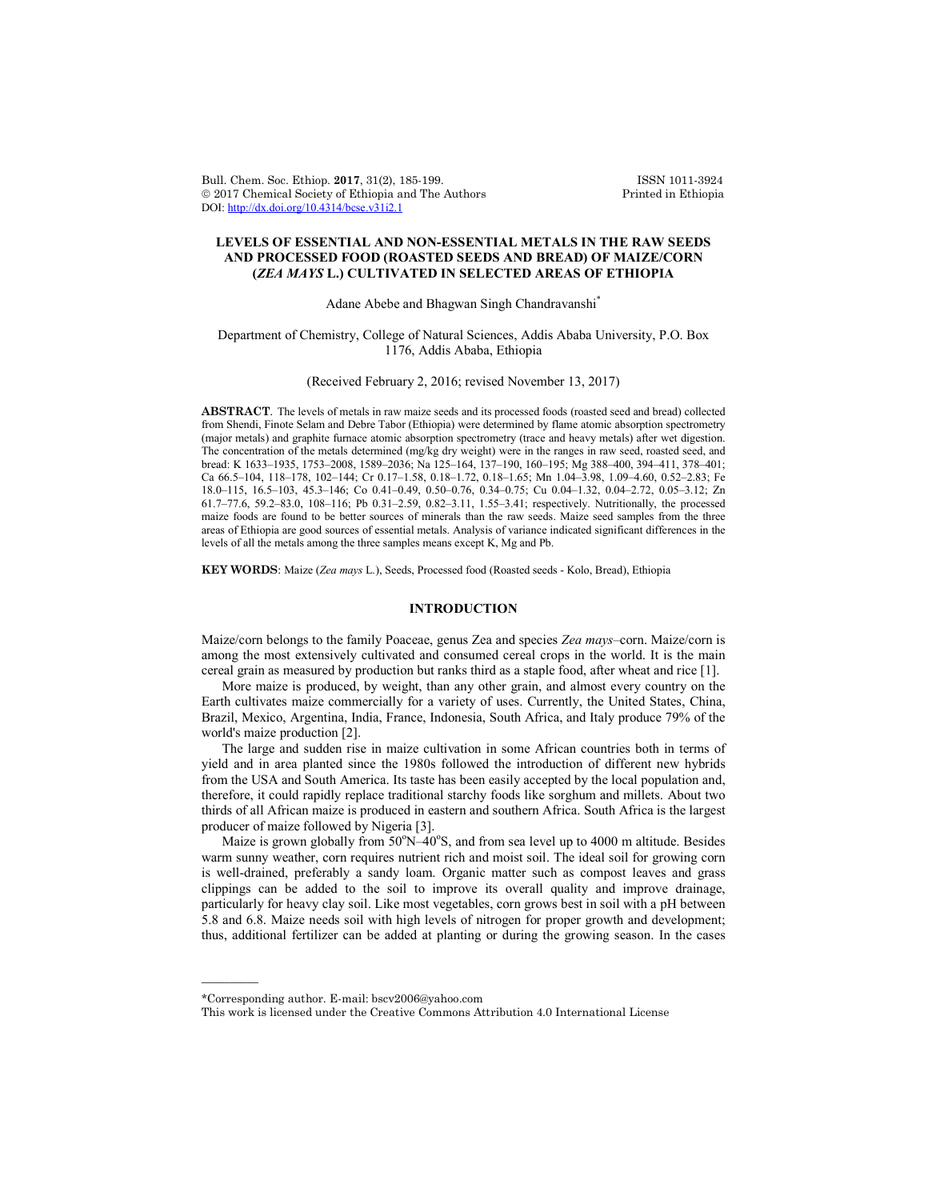Bull. Chem. Soc. Ethiop. 2017, 31(2), 185-199.<br>
© 2017 Chemical Society of Ethiopia and The Authors Printed in Ethiopia  $© 2017$  Chemical Society of Ethiopia and The Authors DOI: http://dx.doi.org/10.4314/bcse.v31i2.1

## **LEVELS OF ESSENTIAL AND NON-ESSENTIAL METALS IN THE RAW SEEDS AND PROCESSED FOOD (ROASTED SEEDS AND BREAD) OF MAIZE/CORN (***ZEA MAYS* **L.) CULTIVATED IN SELECTED AREAS OF ETHIOPIA**

#### Adane Abebe and Bhagwan Singh Chandravanshi\*

## Department of Chemistry, College of Natural Sciences, Addis Ababa University, P.O. Box 1176, Addis Ababa, Ethiopia

## (Received February 2, 2016; revised November 13, 2017)

**ABSTRACT**. The levels of metals in raw maize seeds and its processed foods (roasted seed and bread) collected from Shendi, Finote Selam and Debre Tabor (Ethiopia) were determined by flame atomic absorption spectrometry (major metals) and graphite furnace atomic absorption spectrometry (trace and heavy metals) after wet digestion. The concentration of the metals determined (mg/kg dry weight) were in the ranges in raw seed, roasted seed, and bread: K 1633–1935, 1753–2008, 1589–2036; Na 125–164, 137–190, 160–195; Mg 388–400, 394–411, 378–401; Ca 66.5–104, 118–178, 102–144; Cr 0.17–1.58, 0.18–1.72, 0.18–1.65; Mn 1.04–3.98, 1.09–4.60, 0.52–2.83; Fe 18.0–115, 16.5–103, 45.3–146; Co 0.41–0.49, 0.50–0.76, 0.34–0.75; Cu 0.04–1.32, 0.04–2.72, 0.05–3.12; Zn 61.7–77.6, 59.2–83.0, 108–116; Pb 0.31–2.59, 0.82–3.11, 1.55–3.41; respectively. Nutritionally, the processed maize foods are found to be better sources of minerals than the raw seeds. Maize seed samples from the three areas of Ethiopia are good sources of essential metals. Analysis of variance indicated significant differences in the levels of all the metals among the three samples means except K, Mg and Pb.

**KEY WORDS**: Maize (*Zea mays* L.), Seeds, Processed food (Roasted seeds - Kolo, Bread), Ethiopia

# **INTRODUCTION**

Maize/corn belongs to the family Poaceae, genus Zea and species *Zea mays*–corn. Maize/corn is among the most extensively cultivated and consumed cereal crops in the world. It is the main cereal grain as measured by production but ranks third as a staple food, after wheat and rice [1].

More maize is produced, by weight, than any other grain, and almost every country on the Earth cultivates maize commercially for a variety of uses. Currently, the United States, China, Brazil, Mexico, Argentina, India, France, Indonesia, South Africa, and Italy produce 79% of the world's maize production [2].

The large and sudden rise in maize cultivation in some African countries both in terms of yield and in area planted since the 1980s followed the introduction of different new hybrids from the USA and South America. Its taste has been easily accepted by the local population and, therefore, it could rapidly replace traditional starchy foods like sorghum and millets. About two thirds of all African maize is produced in eastern and southern Africa. South Africa is the largest producer of maize followed by Nigeria [3].

Maize is grown globally from 50°N-40°S, and from sea level up to 4000 m altitude. Besides warm sunny weather, corn requires nutrient rich and moist soil. The ideal soil for growing corn is well-drained, preferably a sandy loam. Organic matter such as compost leaves and grass clippings can be added to the soil to improve its overall quality and improve drainage, particularly for heavy clay soil. Like most vegetables, corn grows best in soil with a pH between 5.8 and 6.8. Maize needs soil with high levels of nitrogen for proper growth and development; thus, additional fertilizer can be added at planting or during the growing season. In the cases

 $\overline{\phantom{a}}$ 

<sup>\*</sup>Corresponding author. E-mail: bscv2006@yahoo.com

This work is licensed under the Creative Commons Attribution 4.0 International License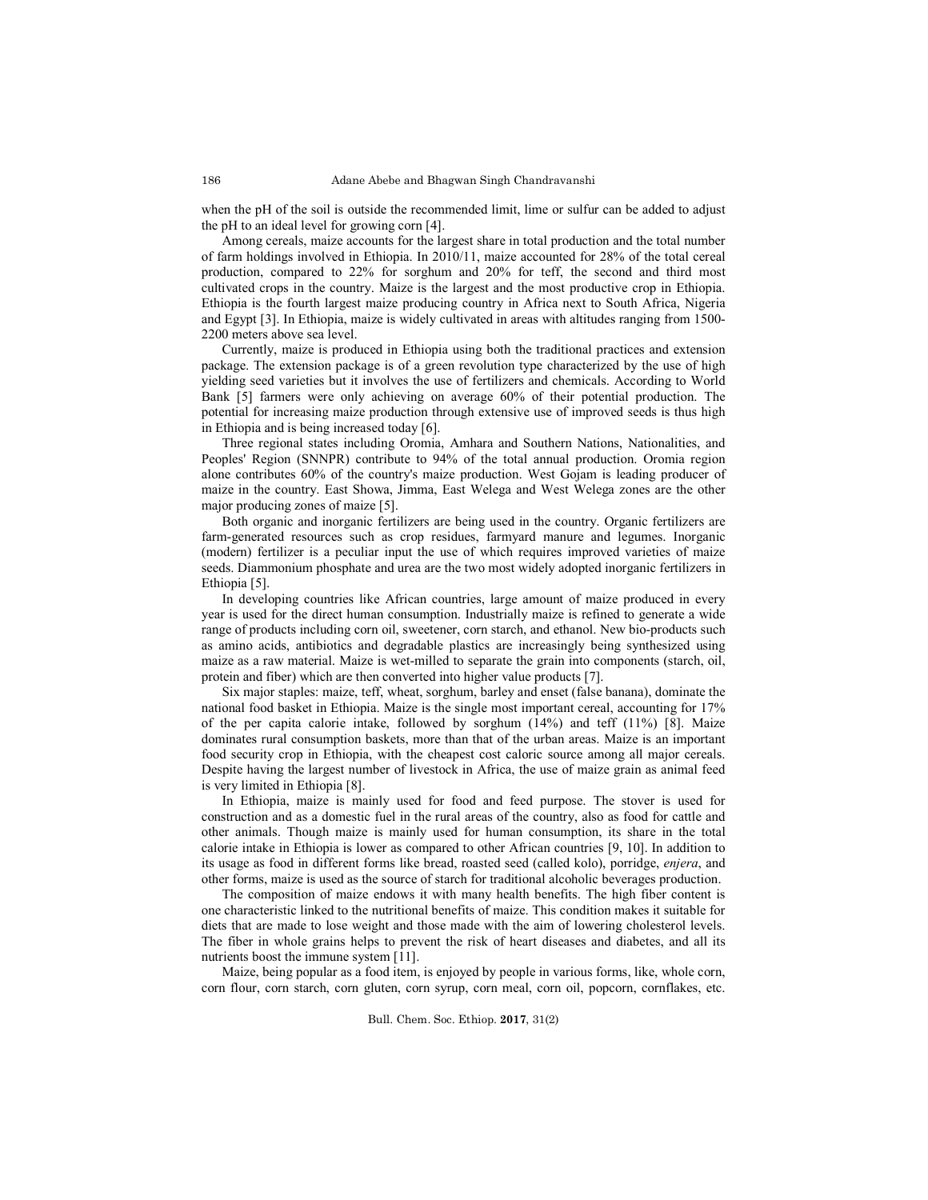when the pH of the soil is outside the recommended limit, lime or sulfur can be added to adjust the pH to an ideal level for growing corn [4].

Among cereals, maize accounts for the largest share in total production and the total number of farm holdings involved in Ethiopia. In 2010/11, maize accounted for 28% of the total cereal production, compared to 22% for sorghum and 20% for teff, the second and third most cultivated crops in the country. Maize is the largest and the most productive crop in Ethiopia. Ethiopia is the fourth largest maize producing country in Africa next to South Africa, Nigeria and Egypt [3]. In Ethiopia, maize is widely cultivated in areas with altitudes ranging from 1500- 2200 meters above sea level.

Currently, maize is produced in Ethiopia using both the traditional practices and extension package. The extension package is of a green revolution type characterized by the use of high yielding seed varieties but it involves the use of fertilizers and chemicals. According to World Bank [5] farmers were only achieving on average 60% of their potential production. The potential for increasing maize production through extensive use of improved seeds is thus high in Ethiopia and is being increased today [6].

Three regional states including Oromia, Amhara and Southern Nations, Nationalities, and Peoples' Region (SNNPR) contribute to 94% of the total annual production. Oromia region alone contributes 60% of the country's maize production. West Gojam is leading producer of maize in the country. East Showa, Jimma, East Welega and West Welega zones are the other major producing zones of maize [5].

Both organic and inorganic fertilizers are being used in the country. Organic fertilizers are farm-generated resources such as crop residues, farmyard manure and legumes. Inorganic (modern) fertilizer is a peculiar input the use of which requires improved varieties of maize seeds. Diammonium phosphate and urea are the two most widely adopted inorganic fertilizers in Ethiopia [5].

In developing countries like African countries, large amount of maize produced in every year is used for the direct human consumption. Industrially maize is refined to generate a wide range of products including corn oil, sweetener, corn starch, and ethanol. New bio-products such as amino acids, antibiotics and degradable plastics are increasingly being synthesized using maize as a raw material. Maize is wet-milled to separate the grain into components (starch, oil, protein and fiber) which are then converted into higher value products [7].

Six major staples: maize, teff, wheat, sorghum, barley and enset (false banana), dominate the national food basket in Ethiopia. Maize is the single most important cereal, accounting for 17% of the per capita calorie intake, followed by sorghum  $(14%)$  and teff  $(11%)$  [8]. Maize dominates rural consumption baskets, more than that of the urban areas. Maize is an important food security crop in Ethiopia, with the cheapest cost caloric source among all major cereals. Despite having the largest number of livestock in Africa, the use of maize grain as animal feed is very limited in Ethiopia [8].

In Ethiopia, maize is mainly used for food and feed purpose. The stover is used for construction and as a domestic fuel in the rural areas of the country, also as food for cattle and other animals. Though maize is mainly used for human consumption, its share in the total calorie intake in Ethiopia is lower as compared to other African countries [9, 10]. In addition to its usage as food in different forms like bread, roasted seed (called kolo), porridge, *enjera*, and other forms, maize is used as the source of starch for traditional alcoholic beverages production.

The composition of maize endows it with many health benefits. The high fiber content is one characteristic linked to the nutritional benefits of maize. This condition makes it suitable for diets that are made to lose weight and those made with the aim of lowering cholesterol levels. The fiber in whole grains helps to prevent the risk of heart diseases and diabetes, and all its nutrients boost the immune system [11].

Maize, being popular as a food item, is enjoyed by people in various forms, like, whole corn, corn flour, corn starch, corn gluten, corn syrup, corn meal, corn oil, popcorn, cornflakes, etc.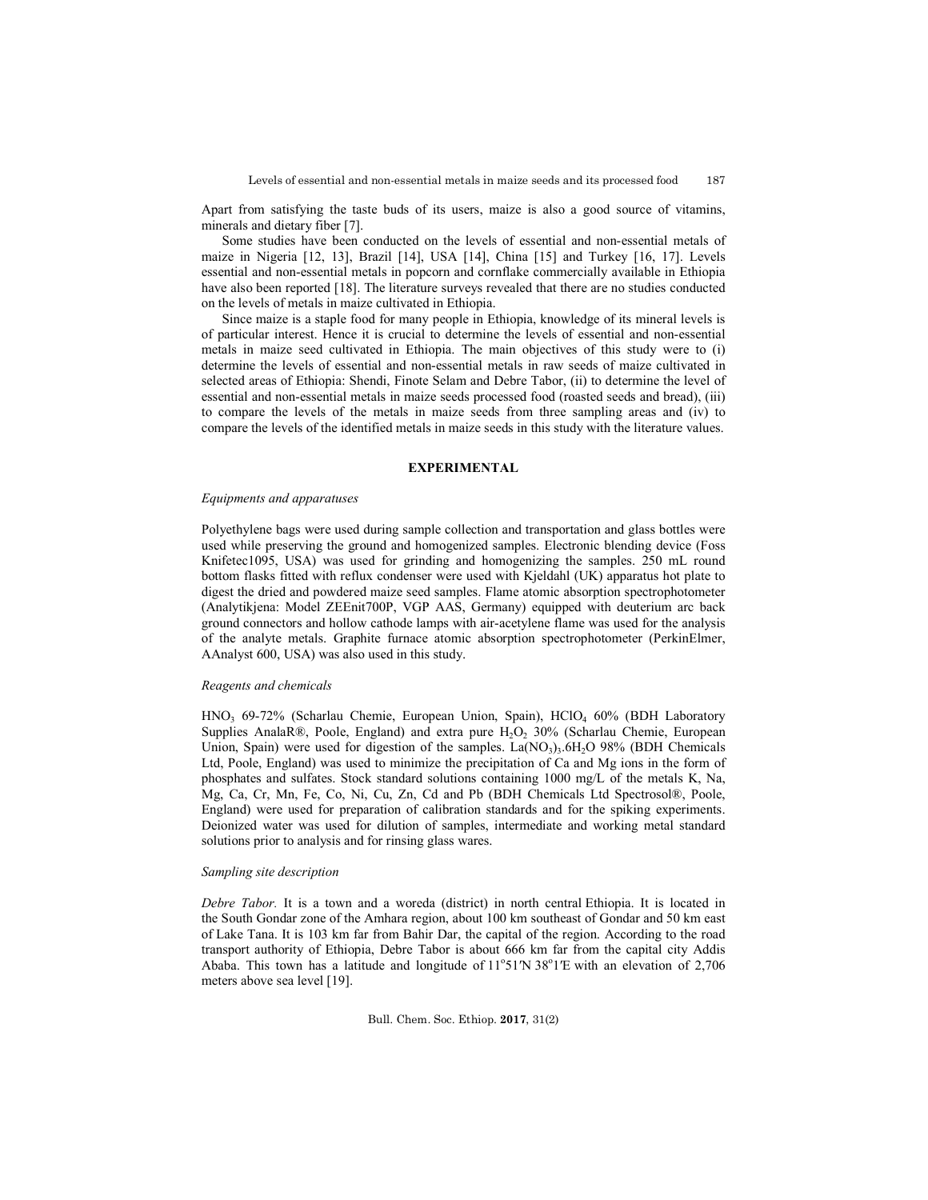Apart from satisfying the taste buds of its users, maize is also a good source of vitamins, minerals and dietary fiber [7].

Some studies have been conducted on the levels of essential and non-essential metals of maize in Nigeria [12, 13], Brazil [14], USA [14], China [15] and Turkey [16, 17]. Levels essential and non-essential metals in popcorn and cornflake commercially available in Ethiopia have also been reported [18]. The literature surveys revealed that there are no studies conducted on the levels of metals in maize cultivated in Ethiopia.

Since maize is a staple food for many people in Ethiopia, knowledge of its mineral levels is of particular interest. Hence it is crucial to determine the levels of essential and non-essential metals in maize seed cultivated in Ethiopia. The main objectives of this study were to (i) determine the levels of essential and non-essential metals in raw seeds of maize cultivated in selected areas of Ethiopia: Shendi, Finote Selam and Debre Tabor, (ii) to determine the level of essential and non-essential metals in maize seeds processed food (roasted seeds and bread), (iii) to compare the levels of the metals in maize seeds from three sampling areas and (iv) to compare the levels of the identified metals in maize seeds in this study with the literature values.

## **EXPERIMENTAL**

#### *Equipments and apparatuses*

Polyethylene bags were used during sample collection and transportation and glass bottles were used while preserving the ground and homogenized samples. Electronic blending device (Foss Knifetec1095, USA) was used for grinding and homogenizing the samples. 250 mL round bottom flasks fitted with reflux condenser were used with Kjeldahl (UK) apparatus hot plate to digest the dried and powdered maize seed samples. Flame atomic absorption spectrophotometer (Analytikjena: Model ZEEnit700P, VGP AAS, Germany) equipped with deuterium arc back ground connectors and hollow cathode lamps with air-acetylene flame was used for the analysis of the analyte metals. Graphite furnace atomic absorption spectrophotometer (PerkinElmer, AAnalyst 600, USA) was also used in this study.

# *Reagents and chemicals*

HNO3 69-72% (Scharlau Chemie, European Union, Spain), HClO4 60% (BDH Laboratory Supplies Anala $R@$ , Poole, England) and extra pure  $H<sub>2</sub>O<sub>2</sub> 30%$  (Scharlau Chemie, European Union, Spain) were used for digestion of the samples. La $(NO<sub>3</sub>)$ <sub>3</sub>.6H<sub>2</sub>O 98% (BDH Chemicals Ltd, Poole, England) was used to minimize the precipitation of Ca and Mg ions in the form of phosphates and sulfates. Stock standard solutions containing 1000 mg/L of the metals K, Na, Mg, Ca, Cr, Mn, Fe, Co, Ni, Cu, Zn, Cd and Pb (BDH Chemicals Ltd Spectrosol®, Poole, England) were used for preparation of calibration standards and for the spiking experiments. Deionized water was used for dilution of samples, intermediate and working metal standard solutions prior to analysis and for rinsing glass wares.

#### *Sampling site description*

*Debre Tabor.* It is a town and a woreda (district) in north central Ethiopia. It is located in the South Gondar zone of the Amhara region, about 100 km southeast of Gondar and 50 km east of Lake Tana. It is 103 km far from Bahir Dar, the capital of the region. According to the road transport authority of Ethiopia, Debre Tabor is about 666 km far from the capital city Addis Ababa. This town has a latitude and longitude of 11°51'N 38°1'E with an elevation of 2,706 meters above sea level [19].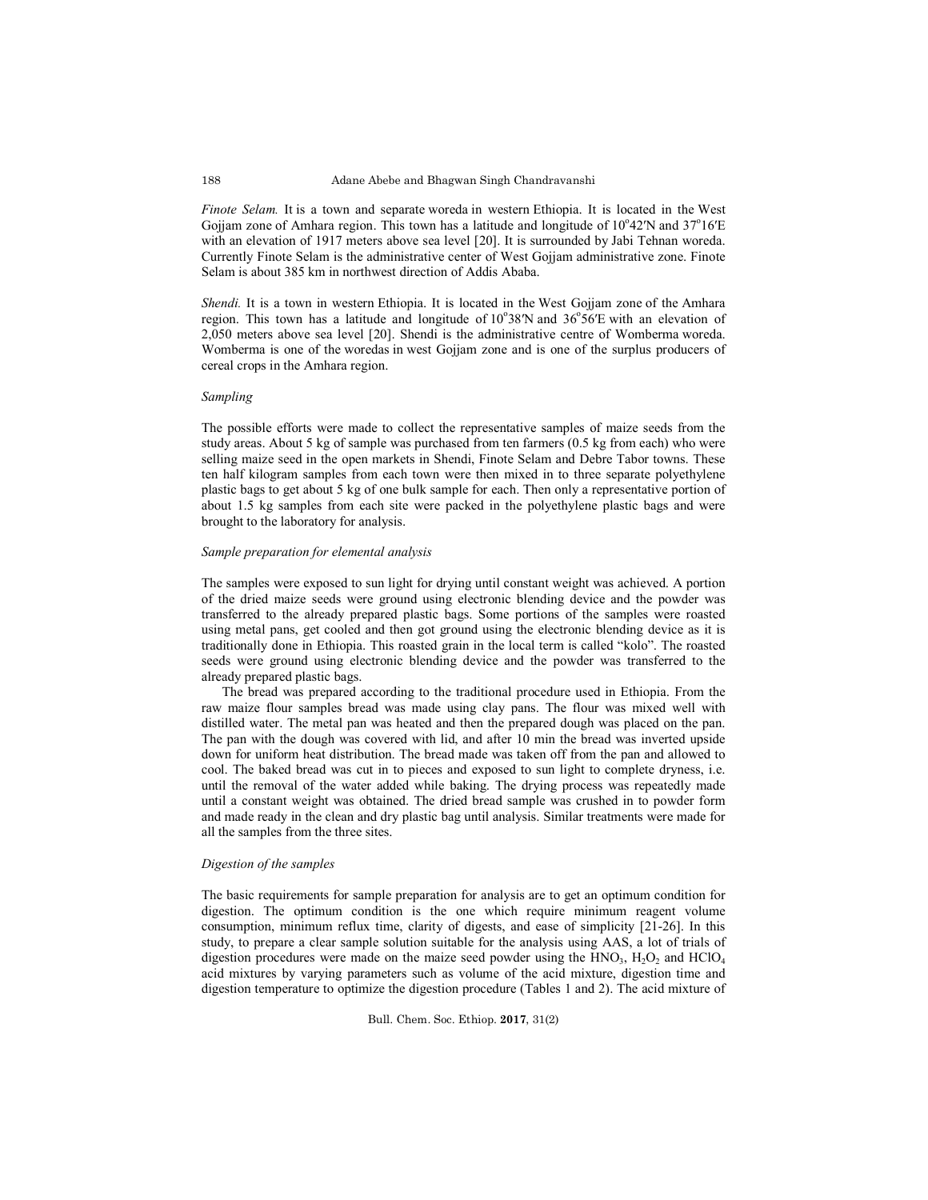### Adane Abebe and Bhagwan Singh Chandravanshi

*Finote Selam.* It is a town and separate woreda in western Ethiopia. It is located in the West Gojjam zone of Amhara region. This town has a latitude and longitude of  $10^{\circ}42'N$  and  $37^{\circ}16'E$ with an elevation of 1917 meters above sea level [20]. It is surrounded by Jabi Tehnan woreda. Currently Finote Selam is the administrative center of West Gojjam administrative zone. Finote Selam is about 385 km in northwest direction of Addis Ababa.

*Shendi*. It is a town in western Ethiopia. It is located in the West Gojjam zone of the Amhara region. This town has a latitude and longitude of  $10^{\circ}38'N$  and  $36^{\circ}56'E$  with an elevation of 2,050 meters above sea level [20]. Shendi is the administrative centre of Womberma woreda. Womberma is one of the woredas in west Gojjam zone and is one of the surplus producers of cereal crops in the Amhara region.

## *Sampling*

The possible efforts were made to collect the representative samples of maize seeds from the study areas. About 5 kg of sample was purchased from ten farmers (0.5 kg from each) who were selling maize seed in the open markets in Shendi, Finote Selam and Debre Tabor towns. These ten half kilogram samples from each town were then mixed in to three separate polyethylene plastic bags to get about 5 kg of one bulk sample for each. Then only a representative portion of about 1.5 kg samples from each site were packed in the polyethylene plastic bags and were brought to the laboratory for analysis.

## *Sample preparation for elemental analysis*

The samples were exposed to sun light for drying until constant weight was achieved. A portion of the dried maize seeds were ground using electronic blending device and the powder was transferred to the already prepared plastic bags. Some portions of the samples were roasted using metal pans, get cooled and then got ground using the electronic blending device as it is traditionally done in Ethiopia. This roasted grain in the local term is called "kolo". The roasted seeds were ground using electronic blending device and the powder was transferred to the already prepared plastic bags.

The bread was prepared according to the traditional procedure used in Ethiopia. From the raw maize flour samples bread was made using clay pans. The flour was mixed well with distilled water. The metal pan was heated and then the prepared dough was placed on the pan. The pan with the dough was covered with lid, and after 10 min the bread was inverted upside down for uniform heat distribution. The bread made was taken off from the pan and allowed to cool. The baked bread was cut in to pieces and exposed to sun light to complete dryness, i.e. until the removal of the water added while baking. The drying process was repeatedly made until a constant weight was obtained. The dried bread sample was crushed in to powder form and made ready in the clean and dry plastic bag until analysis. Similar treatments were made for all the samples from the three sites.

## *Digestion of the samples*

The basic requirements for sample preparation for analysis are to get an optimum condition for digestion. The optimum condition is the one which require minimum reagent volume consumption, minimum reflux time, clarity of digests, and ease of simplicity [21-26]. In this study, to prepare a clear sample solution suitable for the analysis using AAS, a lot of trials of digestion procedures were made on the maize seed powder using the  $HNO<sub>3</sub>, H<sub>2</sub>O<sub>2</sub>$  and  $HClO<sub>4</sub>$ acid mixtures by varying parameters such as volume of the acid mixture, digestion time and digestion temperature to optimize the digestion procedure (Tables 1 and 2). The acid mixture of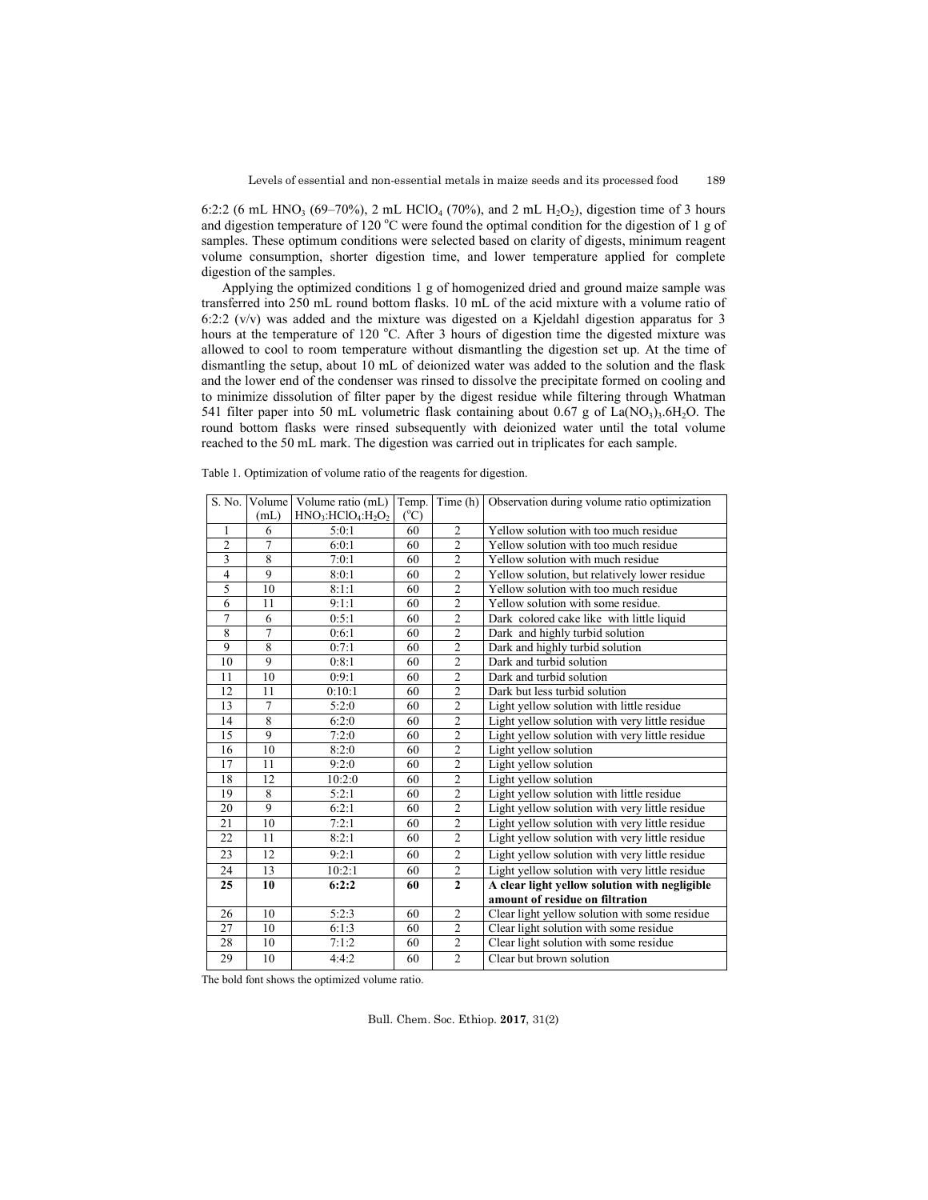6:2:2 (6 mL HNO<sub>3</sub> (69–70%), 2 mL HClO<sub>4</sub> (70%), and 2 mL H<sub>2</sub>O<sub>2</sub>), digestion time of 3 hours and digestion temperature of 120  $^{\circ}$ C were found the optimal condition for the digestion of 1 g of samples. These optimum conditions were selected based on clarity of digests, minimum reagent volume consumption, shorter digestion time, and lower temperature applied for complete digestion of the samples.

Applying the optimized conditions 1 g of homogenized dried and ground maize sample was transferred into 250 mL round bottom flasks. 10 mL of the acid mixture with a volume ratio of 6:2:2  $(v/v)$  was added and the mixture was digested on a Kjeldahl digestion apparatus for 3 hours at the temperature of 120 °C. After 3 hours of digestion time the digested mixture was allowed to cool to room temperature without dismantling the digestion set up. At the time of dismantling the setup, about 10 mL of deionized water was added to the solution and the flask and the lower end of the condenser was rinsed to dissolve the precipitate formed on cooling and to minimize dissolution of filter paper by the digest residue while filtering through Whatman 541 filter paper into 50 mL volumetric flask containing about 0.67 g of La(NO3)3.6H<sub>2</sub>O. The round bottom flasks were rinsed subsequently with deionized water until the total volume reached to the 50 mL mark. The digestion was carried out in triplicates for each sample.

Table 1. Optimization of volume ratio of the reagents for digestion.

| S. No.                  | Volume         | Volume ratio (mL)                                                  | Temp.         | Time (h)         | Observation during volume ratio optimization   |
|-------------------------|----------------|--------------------------------------------------------------------|---------------|------------------|------------------------------------------------|
|                         | (mL)           | HNO <sub>3</sub> :HClO <sub>4</sub> :H <sub>2</sub> O <sub>2</sub> | $(^{\circ}C)$ |                  |                                                |
| 1                       | 6              | 5:0:1                                                              | 60            | $\overline{2}$   | Yellow solution with too much residue          |
| $\overline{2}$          | 7              | 6:0:1                                                              | 60            | $\overline{2}$   | Yellow solution with too much residue          |
| $\overline{\mathbf{3}}$ | $\overline{8}$ | 7:0:1                                                              | 60            | $\overline{2}$   | Yellow solution with much residue              |
| $\overline{4}$          | $\overline{9}$ | 8:0:1                                                              | 60            | $\overline{2}$   | Yellow solution, but relatively lower residue  |
| 5                       | 10             | 8:1:1                                                              | 60            | $\overline{2}$   | Yellow solution with too much residue          |
| 6                       | 11             | 9:1:1                                                              | 60            | $\overline{2}$   | Yellow solution with some residue.             |
| $\overline{7}$          | 6              | 0:5:1                                                              | 60            | $\overline{2}$   | Dark colored cake like with little liquid      |
| $\overline{8}$          | $\overline{7}$ | 0:6:1                                                              | 60            | $\overline{2}$   | Dark and highly turbid solution                |
| 9                       | $\overline{8}$ | 0:7:1                                                              | 60            | $\overline{2}$   | Dark and highly turbid solution                |
| 10                      | 9              | 0:8:1                                                              | 60            | $\overline{2}$   | Dark and turbid solution                       |
| $\overline{11}$         | 10             | 0:9:1                                                              | 60            | $\overline{2}$   | Dark and turbid solution                       |
| 12                      | 11             | 0:10:1                                                             | 60            | $\overline{2}$   | Dark but less turbid solution                  |
| 13                      | $\overline{7}$ | 5:2:0                                                              | 60            | $\overline{2}$   | Light yellow solution with little residue      |
| 14                      | 8              | 6:2:0                                                              | 60            | $\overline{2}$   | Light yellow solution with very little residue |
| 15                      | $\overline{9}$ | 7:2:0                                                              | 60            | $\overline{2}$   | Light yellow solution with very little residue |
| 16                      | 10             | 8:2:0                                                              | 60            | $\overline{2}$   | Light yellow solution                          |
| 17                      | 11             | 9:2:0                                                              | 60            | $\overline{2}$   | Light yellow solution                          |
| 18                      | 12             | 10:2:0                                                             | 60            | $\overline{2}$   | Light yellow solution                          |
| 19                      | 8              | 5:2:1                                                              | 60            | $\overline{2}$   | Light yellow solution with little residue      |
| 20                      | $\overline{9}$ | 6:2:1                                                              | 60            | $\overline{2}$   | Light yellow solution with very little residue |
| 21                      | 10             | 7:2:1                                                              | 60            | $\overline{2}$   | Light yellow solution with very little residue |
| 22                      | 11             | 8:2:1                                                              | 60            | $\overline{2}$   | Light yellow solution with very little residue |
| 23                      | 12             | 9:2:1                                                              | 60            | $\sqrt{2}$       | Light yellow solution with very little residue |
| 24                      | 13             | 10:2:1                                                             | 60            | $\overline{2}$   | Light yellow solution with very little residue |
| 25                      | 10             | 6:2:2                                                              | 60            | $\overline{2}$   | A clear light yellow solution with negligible  |
|                         |                |                                                                    |               |                  | amount of residue on filtration                |
| 26                      | 10             | 5:2:3                                                              | 60            | $\boldsymbol{2}$ | Clear light yellow solution with some residue  |
| 27                      | 10             | 6:1:3                                                              | 60            | $\overline{2}$   | Clear light solution with some residue         |
| 28                      | 10             | 7:1:2                                                              | 60            | $\overline{2}$   | Clear light solution with some residue         |
| 29                      | 10             | 4:4:2                                                              | 60            | $\overline{2}$   | Clear but brown solution                       |

The bold font shows the optimized volume ratio.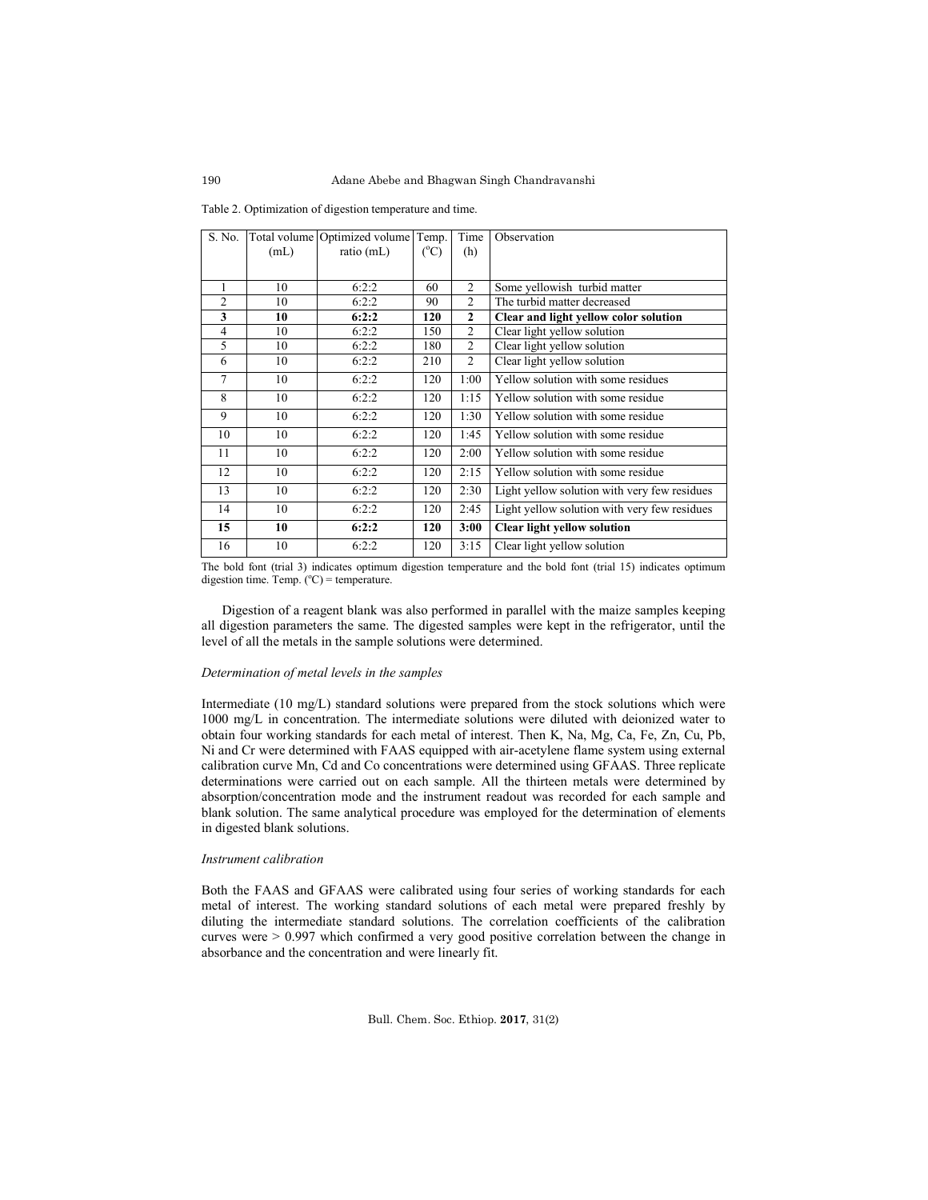Table 2. Optimization of digestion temperature and time.

| S. No.         |      | Total volume Optimized volume | Temp.         | Time           | Observation                                  |
|----------------|------|-------------------------------|---------------|----------------|----------------------------------------------|
|                | (mL) | ratio (mL)                    | $(^{\circ}C)$ | (h)            |                                              |
|                |      |                               |               |                |                                              |
| 1              | 10   | 6:2:2                         | 60            | $\overline{c}$ | Some yellowish turbid matter                 |
| $\overline{c}$ | 10   | 6:2:2                         | 90            | $\overline{c}$ | The turbid matter decreased                  |
| 3              | 10   | 6:2:2                         | 120           | $\mathbf{2}$   | Clear and light yellow color solution        |
| $\overline{4}$ | 10   | 6:2:2                         | 150           | $\overline{2}$ | Clear light yellow solution                  |
| 5              | 10   | 6:2:2                         | 180           | $\overline{2}$ | Clear light yellow solution                  |
| 6              | 10   | 6:2:2                         | 210           | $\overline{2}$ | Clear light yellow solution                  |
| 7              | 10   | 6:2:2                         | 120           | 1:00           | Yellow solution with some residues           |
| 8              | 10   | 6:2:2                         | 120           | 1:15           | Yellow solution with some residue            |
| 9              | 10   | 6:2:2                         | 120           | 1:30           | Yellow solution with some residue            |
| 10             | 10   | 6:2:2                         | 120           | 1:45           | Yellow solution with some residue            |
| 11             | 10   | 6:2:2                         | 120           | 2:00           | Yellow solution with some residue            |
| 12             | 10   | 6:2:2                         | 120           | 2:15           | Yellow solution with some residue            |
| 13             | 10   | 6:2:2                         | 120           | 2:30           | Light yellow solution with very few residues |
| 14             | 10   | 6:2:2                         | 120           | 2:45           | Light yellow solution with very few residues |
| 15             | 10   | 6:2:2                         | 120           | 3:00           | Clear light yellow solution                  |
| 16             | 10   | 6:2:2                         | 120           | 3:15           | Clear light yellow solution                  |

The bold font (trial 3) indicates optimum digestion temperature and the bold font (trial 15) indicates optimum digestion time. Temp.  $(^{\circ}C)$  = temperature.

Digestion of a reagent blank was also performed in parallel with the maize samples keeping all digestion parameters the same. The digested samples were kept in the refrigerator, until the level of all the metals in the sample solutions were determined.

## *Determination of metal levels in the samples*

Intermediate (10 mg/L) standard solutions were prepared from the stock solutions which were 1000 mg/L in concentration. The intermediate solutions were diluted with deionized water to obtain four working standards for each metal of interest. Then K, Na, Mg, Ca, Fe, Zn, Cu, Pb, Ni and Cr were determined with FAAS equipped with air-acetylene flame system using external calibration curve Mn, Cd and Co concentrations were determined using GFAAS. Three replicate determinations were carried out on each sample. All the thirteen metals were determined by absorption/concentration mode and the instrument readout was recorded for each sample and blank solution. The same analytical procedure was employed for the determination of elements in digested blank solutions.

## *Instrument calibration*

Both the FAAS and GFAAS were calibrated using four series of working standards for each metal of interest. The working standard solutions of each metal were prepared freshly by diluting the intermediate standard solutions. The correlation coefficients of the calibration curves were > 0.997 which confirmed a very good positive correlation between the change in absorbance and the concentration and were linearly fit.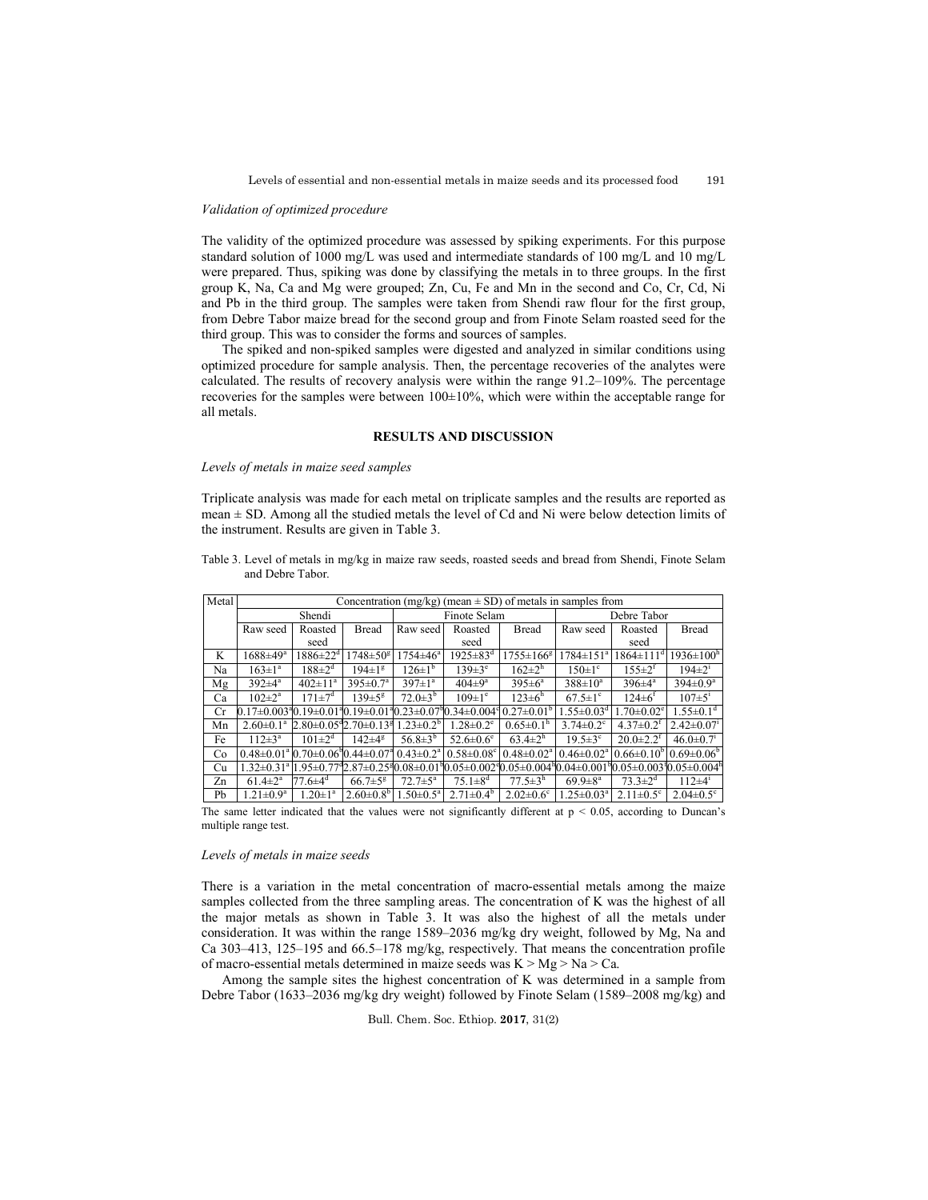Levels of essential and non-essential metals in maize seeds and its processed food 191

### *Validation of optimized procedure*

The validity of the optimized procedure was assessed by spiking experiments. For this purpose standard solution of 1000 mg/L was used and intermediate standards of 100 mg/L and 10 mg/L were prepared. Thus, spiking was done by classifying the metals in to three groups. In the first group K, Na, Ca and Mg were grouped; Zn, Cu, Fe and Mn in the second and Co, Cr, Cd, Ni and Pb in the third group. The samples were taken from Shendi raw flour for the first group, from Debre Tabor maize bread for the second group and from Finote Selam roasted seed for the third group. This was to consider the forms and sources of samples.

The spiked and non-spiked samples were digested and analyzed in similar conditions using optimized procedure for sample analysis. Then, the percentage recoveries of the analytes were calculated. The results of recovery analysis were within the range 91.2–109%. The percentage recoveries for the samples were between  $100\pm10\%$ , which were within the acceptable range for all metals.

## **RESULTS AND DISCUSSION**

#### *Levels of metals in maize seed samples*

Triplicate analysis was made for each metal on triplicate samples and the results are reported as mean  $\pm$  SD. Among all the studied metals the level of Cd and Ni were below detection limits of the instrument. Results are given in Table 3.

| Table 3. Level of metals in mg/kg in maize raw seeds, roasted seeds and bread from Shendi, Finote Selam |  |  |  |  |  |
|---------------------------------------------------------------------------------------------------------|--|--|--|--|--|
| and Debre Tabor.                                                                                        |  |  |  |  |  |

| Metal     |                                                                                 |                         |                                     |                             |                              | Concentration (mg/kg) (mean $\pm$ SD) of metals in samples from                                                                                                                                                                                                |                              |                                     |                              |  |
|-----------|---------------------------------------------------------------------------------|-------------------------|-------------------------------------|-----------------------------|------------------------------|----------------------------------------------------------------------------------------------------------------------------------------------------------------------------------------------------------------------------------------------------------------|------------------------------|-------------------------------------|------------------------------|--|
|           |                                                                                 | Shendi                  |                                     |                             | Finote Selam                 |                                                                                                                                                                                                                                                                | Debre Tabor                  |                                     |                              |  |
|           | Raw seed                                                                        | Roasted                 | Bread                               | Raw seed                    | Roasted                      | <b>Bread</b>                                                                                                                                                                                                                                                   | Raw seed                     | Roasted                             | <b>Bread</b>                 |  |
|           |                                                                                 | seed                    |                                     |                             | seed                         |                                                                                                                                                                                                                                                                |                              | seed                                |                              |  |
| K         | 1688±49ª                                                                        | $1886 \pm 22^d$         | $1748 \pm 50$ <sup>g</sup>          | $1754 \pm 46^{\circ}$       | $1925 \pm 83^d$              | $1755 \pm 166^8$                                                                                                                                                                                                                                               | $1784 \pm 151$ <sup>a</sup>  | $1864 \pm 111$ <sup>d</sup>         | $1936 \pm 100^h$             |  |
| Na        | $163 \pm 1^a$                                                                   | $188 \pm 2^d$           | $194 \pm 1^{8}$                     | $126 \pm 1^{b}$             | $139 \pm 3^e$                | $162 \pm 2^h$                                                                                                                                                                                                                                                  | $150 \pm 1$ <sup>c</sup>     | $155 \pm 2^{f}$                     | $194 \pm 2^1$                |  |
| Mg        | $392 \pm 4^a$                                                                   | $402 \pm 11^{a}$        | $395 \pm 0.7$ <sup>a</sup>          | $397 \pm 1^a$               | $404 \pm 9^a$                | $395 \pm 6^a$                                                                                                                                                                                                                                                  | $388 \pm 10^a$               | $396 \pm 4^{\circ}$                 | $394 \pm 0.9^{\circ}$        |  |
| Ca        | $102 \pm 2^a$                                                                   | $171 \pm 7^d$           | $139 \pm 5^8$                       | $72.0 \pm 3^{b}$            | $109 \pm 1$ <sup>e</sup>     | $123 \pm 6^h$                                                                                                                                                                                                                                                  | $67.5 \pm 1^{\circ}$         | $124 \pm 6^{\text{t}}$              | $107 \pm 5^1$                |  |
| <b>Cr</b> | $0.17\pm0.003^{4}0.19\pm0.01^{4}0.19\pm0.01^{4}0.23\pm0.07^{9}0.34\pm0.004^{6}$ |                         |                                     |                             |                              | $0.27 \pm 0.01^{\circ}$                                                                                                                                                                                                                                        | $1.55 \pm 0.03^{\circ}$      | $1.70 \pm 0.02$ <sup>e</sup>        | $1.55 \pm 0.1$ <sup>d</sup>  |  |
| Mn        | $2.60 \pm 0.1^a$                                                                |                         | $2.80\pm0.05^{d}$ $2.70\pm0.13^{e}$ | $1.23 \pm 0.2^b$            | $.28 \pm 0.2$ <sup>e</sup>   | $0.65 \pm 0.1$ <sup>h</sup>                                                                                                                                                                                                                                    | $3.74 \pm 0.2$ <sup>c</sup>  | $4.37 \pm 0.2$ <sup>f</sup>         | $2.42 \pm 0.07$ <sup>1</sup> |  |
| Fe        | $112 \pm 3^a$                                                                   | $101 \pm 2^d$           | $142 \pm 4^8$                       | 56.8 $\pm$ 3 <sup>b</sup>   | $52.6 \pm 0.6^e$             | $63.4 \pm 2^h$                                                                                                                                                                                                                                                 | $19.5 \pm 3^{\circ}$         | $20.0 \pm 2.2^t$                    | $46.0 \pm 0.7$ <sup>1</sup>  |  |
| Co        | $0.48\pm0.01^{\circ}$ $0.70\pm0.06^{\circ}$ $0.44\pm0.07^{\circ}$               |                         |                                     | $0.43 \pm 0.2$ <sup>a</sup> | $0.58 \pm 0.08$ <sup>c</sup> | $0.48 \pm 0.02^a$                                                                                                                                                                                                                                              | $0.46 \pm 0.02$ <sup>a</sup> | $0.66\pm0.10^{6}$ $0.69\pm0.06^{6}$ |                              |  |
| Cu        | $1.32 \pm 0.31$ <sup>a</sup>                                                    |                         |                                     |                             |                              | $1.95\pm0.77\pm2.87\pm0.25\pm0.08\pm0.01\pm0.05\pm0.002\pm0.05\pm0.004\pm0.044\pm0.001\pm0.05\pm0.003\pm0.005\pm0.004\pm0.004\pm0.004\pm0.004\pm0.004\pm0.004\pm0.004\pm0.004\pm0.004\pm0.004\pm0.004\pm0.004\pm0.004\pm0.004\pm0.004\pm0.004\pm0.004\pm0.004$ |                              |                                     |                              |  |
| Zn        | $61.4 \pm 2^a$                                                                  | $77.6 \pm 4^d$          | $66.7 \pm 5^8$                      | $72.7 \pm 5^a$              | 75.1 $\pm$ 8 <sup>d</sup>    | $77.5 \pm 3^h$                                                                                                                                                                                                                                                 | $69.9 \pm 8^a$               | $73.3 \pm 2^d$                      | $112 \pm 4^1$                |  |
| Pb        | $.21 \pm 0.9^{\circ}$                                                           | $1.20 \pm 1^{\text{a}}$ | $2.60\pm0.8^{b}$                    | $1.50 \pm 0.5^{\text{a}}$   | $2.71 \pm 0.4^b$             | $2.02 \pm 0.6$ °                                                                                                                                                                                                                                               | $1.25 \pm 0.03^a$            | $2.11 \pm 0.5$ <sup>c</sup>         | $2.04 \pm 0.5$ °             |  |

The same letter indicated that the values were not significantly different at  $p < 0.05$ , according to Duncan's multiple range test.

## *Levels of metals in maize seeds*

There is a variation in the metal concentration of macro-essential metals among the maize samples collected from the three sampling areas. The concentration of K was the highest of all the major metals as shown in Table 3. It was also the highest of all the metals under consideration. It was within the range 1589–2036 mg/kg dry weight, followed by Mg, Na and Ca 303–413, 125–195 and 66.5–178 mg/kg, respectively. That means the concentration profile of macro-essential metals determined in maize seeds was  $K > Mg > Na > Ca$ .

Among the sample sites the highest concentration of K was determined in a sample from Debre Tabor (1633–2036 mg/kg dry weight) followed by Finote Selam (1589–2008 mg/kg) and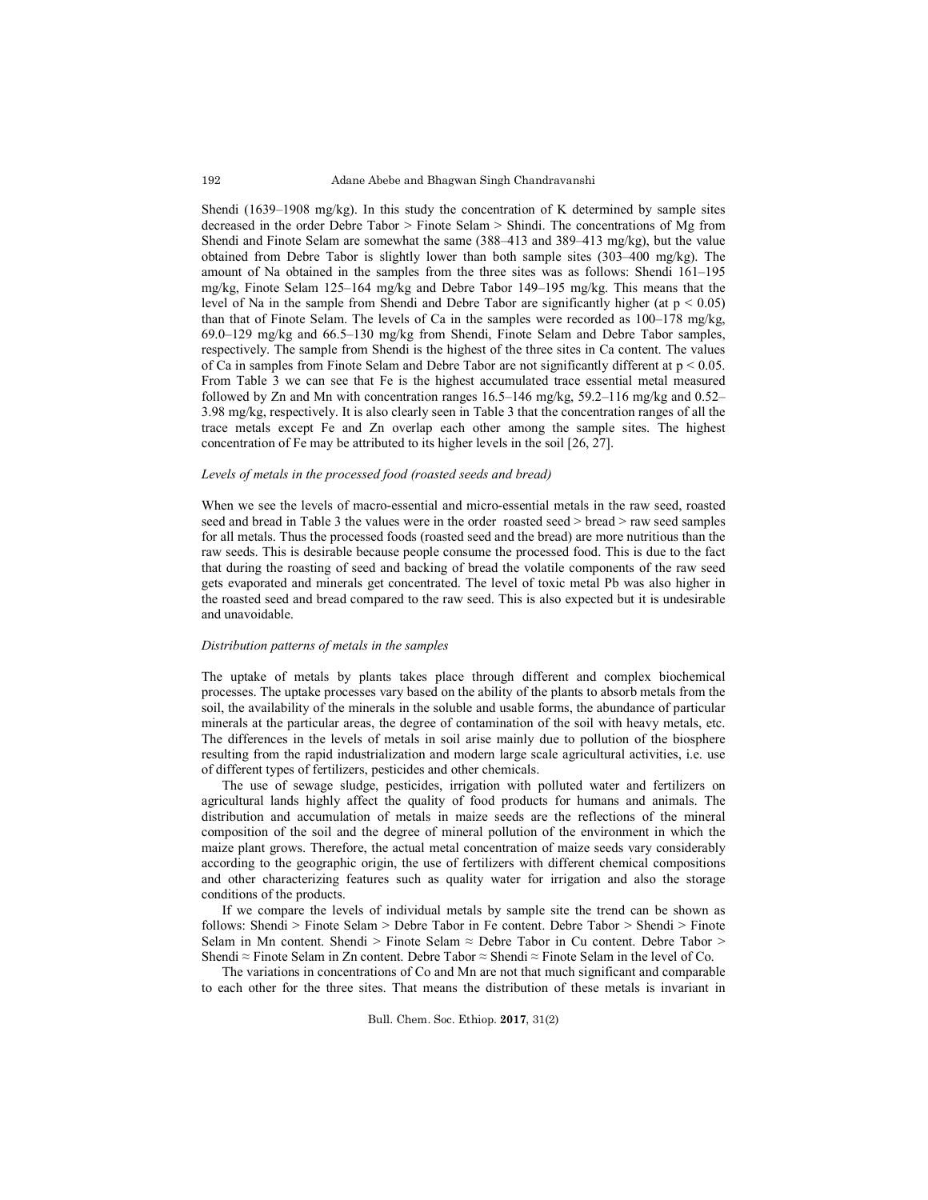### Adane Abebe and Bhagwan Singh Chandravanshi

Shendi (1639–1908 mg/kg). In this study the concentration of K determined by sample sites decreased in the order Debre Tabor > Finote Selam > Shindi. The concentrations of Mg from Shendi and Finote Selam are somewhat the same (388–413 and 389–413 mg/kg), but the value obtained from Debre Tabor is slightly lower than both sample sites  $(303-400 \text{ mg/kg})$ . The amount of Na obtained in the samples from the three sites was as follows: Shendi 161–195 mg/kg, Finote Selam 125–164 mg/kg and Debre Tabor 149–195 mg/kg. This means that the level of Na in the sample from Shendi and Debre Tabor are significantly higher (at  $p < 0.05$ ) than that of Finote Selam. The levels of Ca in the samples were recorded as 100–178 mg/kg, 69.0–129 mg/kg and 66.5–130 mg/kg from Shendi, Finote Selam and Debre Tabor samples, respectively. The sample from Shendi is the highest of the three sites in Ca content. The values of Ca in samples from Finote Selam and Debre Tabor are not significantly different at  $p < 0.05$ . From Table 3 we can see that Fe is the highest accumulated trace essential metal measured followed by Zn and Mn with concentration ranges  $16.5-146$  mg/kg,  $59.2-116$  mg/kg and  $0.52-$ 3.98 mg/kg, respectively. It is also clearly seen in Table 3 that the concentration ranges of all the trace metals except Fe and Zn overlap each other among the sample sites. The highest concentration of Fe may be attributed to its higher levels in the soil [26, 27].

## *Levels of metals in the processed food (roasted seeds and bread)*

When we see the levels of macro-essential and micro-essential metals in the raw seed, roasted seed and bread in Table 3 the values were in the order roasted seed > bread > raw seed samples for all metals. Thus the processed foods (roasted seed and the bread) are more nutritious than the raw seeds. This is desirable because people consume the processed food. This is due to the fact that during the roasting of seed and backing of bread the volatile components of the raw seed gets evaporated and minerals get concentrated. The level of toxic metal Pb was also higher in the roasted seed and bread compared to the raw seed. This is also expected but it is undesirable and unavoidable.

### *Distribution patterns of metals in the samples*

The uptake of metals by plants takes place through different and complex biochemical processes. The uptake processes vary based on the ability of the plants to absorb metals from the soil, the availability of the minerals in the soluble and usable forms, the abundance of particular minerals at the particular areas, the degree of contamination of the soil with heavy metals, etc. The differences in the levels of metals in soil arise mainly due to pollution of the biosphere resulting from the rapid industrialization and modern large scale agricultural activities, i.e. use of different types of fertilizers, pesticides and other chemicals.

The use of sewage sludge, pesticides, irrigation with polluted water and fertilizers on agricultural lands highly affect the quality of food products for humans and animals. The distribution and accumulation of metals in maize seeds are the reflections of the mineral composition of the soil and the degree of mineral pollution of the environment in which the maize plant grows. Therefore, the actual metal concentration of maize seeds vary considerably according to the geographic origin, the use of fertilizers with different chemical compositions and other characterizing features such as quality water for irrigation and also the storage conditions of the products.

If we compare the levels of individual metals by sample site the trend can be shown as follows: Shendi > Finote Selam > Debre Tabor in Fe content. Debre Tabor > Shendi > Finote Selam in Mn content. Shendi > Finote Selam  $\approx$  Debre Tabor in Cu content. Debre Tabor > Shendi ≈ Finote Selam in Zn content. Debre Tabor ≈ Shendi ≈ Finote Selam in the level of Co.

The variations in concentrations of Co and Mn are not that much significant and comparable to each other for the three sites. That means the distribution of these metals is invariant in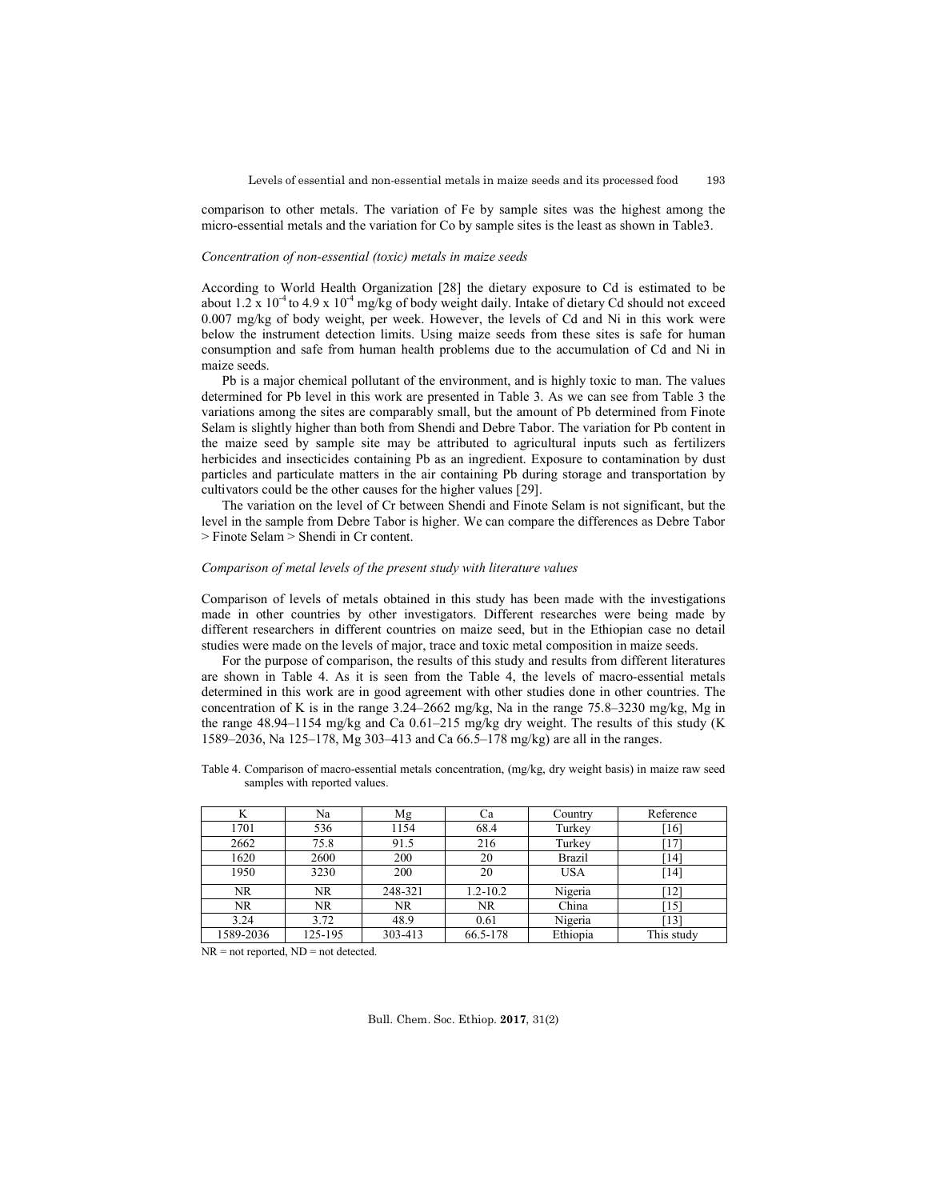comparison to other metals. The variation of Fe by sample sites was the highest among the micro-essential metals and the variation for Co by sample sites is the least as shown in Table3.

## *Concentration of non-essential (toxic) metals in maize seeds*

According to World Health Organization [28] the dietary exposure to Cd is estimated to be about 1.2 x  $10^{-4}$  to 4.9 x  $10^{-4}$  mg/kg of body weight daily. Intake of dietary Cd should not exceed 0.007 mg/kg of body weight, per week. However, the levels of Cd and Ni in this work were below the instrument detection limits. Using maize seeds from these sites is safe for human consumption and safe from human health problems due to the accumulation of Cd and Ni in maize seeds.

Pb is a major chemical pollutant of the environment, and is highly toxic to man. The values determined for Pb level in this work are presented in Table 3. As we can see from Table 3 the variations among the sites are comparably small, but the amount of Pb determined from Finote Selam is slightly higher than both from Shendi and Debre Tabor. The variation for Pb content in the maize seed by sample site may be attributed to agricultural inputs such as fertilizers herbicides and insecticides containing Pb as an ingredient. Exposure to contamination by dust particles and particulate matters in the air containing Pb during storage and transportation by cultivators could be the other causes for the higher values [29].

The variation on the level of Cr between Shendi and Finote Selam is not significant, but the level in the sample from Debre Tabor is higher. We can compare the differences as Debre Tabor > Finote Selam > Shendi in Cr content.

### *Comparison of metal levels of the present study with literature values*

Comparison of levels of metals obtained in this study has been made with the investigations made in other countries by other investigators. Different researches were being made by different researchers in different countries on maize seed, but in the Ethiopian case no detail studies were made on the levels of major, trace and toxic metal composition in maize seeds.

For the purpose of comparison, the results of this study and results from different literatures are shown in Table 4. As it is seen from the Table 4, the levels of macro-essential metals determined in this work are in good agreement with other studies done in other countries. The concentration of K is in the range  $3.24-2662$  mg/kg, Na in the range  $75.8-3230$  mg/kg, Mg in the range 48.94–1154 mg/kg and Ca 0.61–215 mg/kg dry weight. The results of this study (K 1589–2036, Na 125–178, Mg 303–413 and Ca 66.5–178 mg/kg) are all in the ranges.

| A    | Na   | Mg      | Cа           | Country       | Reference |
|------|------|---------|--------------|---------------|-----------|
| 1701 | 536  | 1154    | 68.4         | Turkey        | [16]      |
| 2662 | 75.8 | 91.5    | 216          | Turkey        |           |
| 1620 | 2600 | 200     | 20           | <b>Brazil</b> | 14        |
| 1950 | 3230 | 200     | 20           | <b>USA</b>    | [14]      |
| NR.  | NR.  | 248-321 | $1.2 - 10.2$ | Nigeria       | 12        |
| NR.  | NR.  | NR      | NR.          | China         | [15       |
| 3.24 | 3.72 | 48.9    | 0.61         | Nigeria       | [13       |

1589-2036 125-195 303-413 66.5-178 Ethiopia This study

Table 4. Comparison of macro-essential metals concentration, (mg/kg, dry weight basis) in maize raw seed samples with reported values.

 $NR = not reported, ND = not detected.$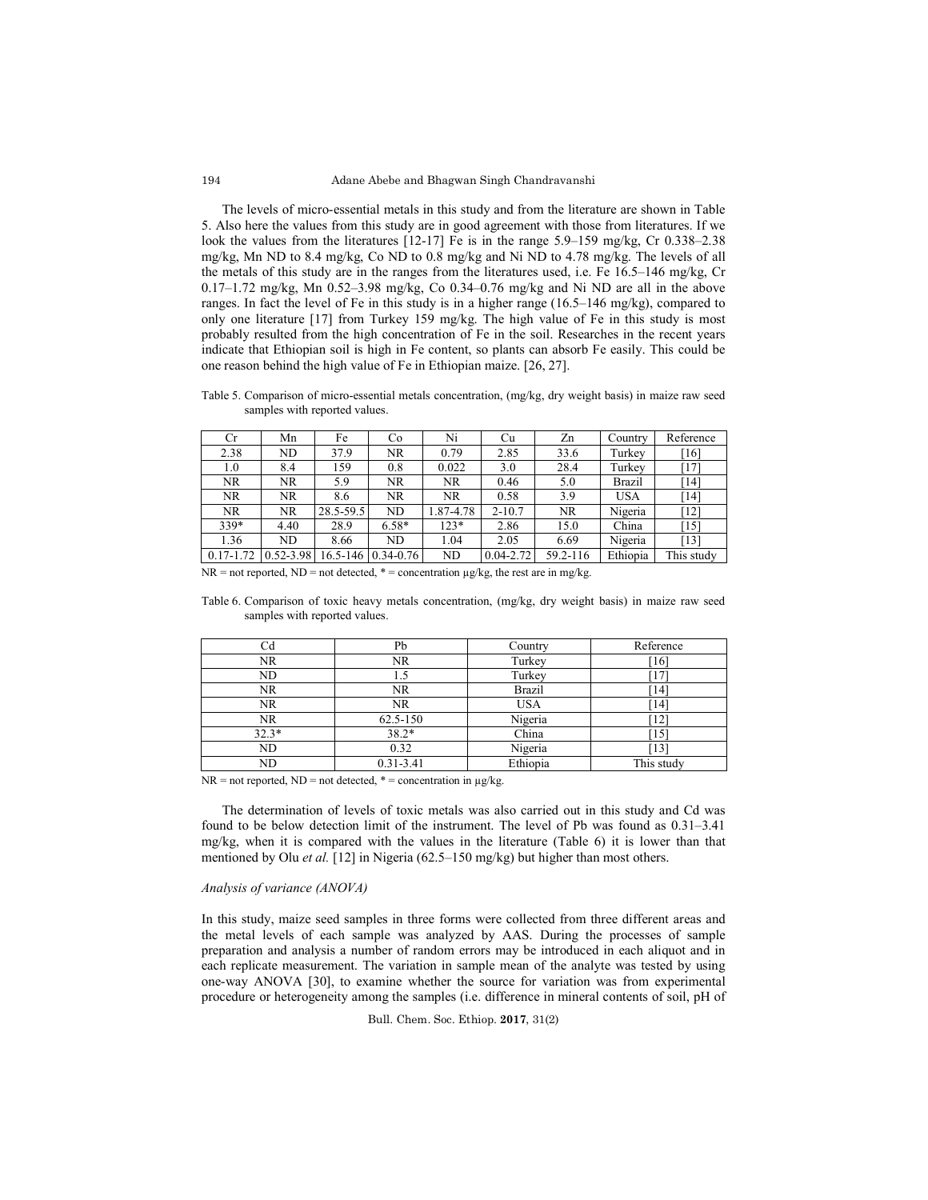### Adane Abebe and Bhagwan Singh Chandravanshi

The levels of micro-essential metals in this study and from the literature are shown in Table 5. Also here the values from this study are in good agreement with those from literatures. If we look the values from the literatures [12-17] Fe is in the range 5.9–159 mg/kg, Cr 0.338–2.38 mg/kg, Mn ND to 8.4 mg/kg, Co ND to 0.8 mg/kg and Ni ND to 4.78 mg/kg. The levels of all the metals of this study are in the ranges from the literatures used, i.e. Fe 16.5–146 mg/kg, Cr 0.17–1.72 mg/kg, Mn 0.52–3.98 mg/kg, Co 0.34–0.76 mg/kg and Ni ND are all in the above ranges. In fact the level of Fe in this study is in a higher range (16.5–146 mg/kg), compared to only one literature [17] from Turkey 159 mg/kg. The high value of Fe in this study is most probably resulted from the high concentration of Fe in the soil. Researches in the recent years indicate that Ethiopian soil is high in Fe content, so plants can absorb Fe easily. This could be one reason behind the high value of Fe in Ethiopian maize. [26, 27].

Table 5. Comparison of micro-essential metals concentration, (mg/kg, dry weight basis) in maize raw seed samples with reported values.

| Сr            | Mn            | Fe           | Co            | Ni        | Cu            | Zn        | Country    | Reference  |
|---------------|---------------|--------------|---------------|-----------|---------------|-----------|------------|------------|
| 2.38          | ND            | 37.9         | NR.           | 0.79      | 2.85          | 33.6      | Turkey     | [16]       |
| 1.0           | 8.4           | 159          | 0.8           | 0.022     | 3.0           | 28.4      | Turkey     | 17         |
| NR            | NR            | 5.9          | NR.           | NR.       | 0.46          | 5.0       | Brazil     | [14]       |
| <b>NR</b>     | NR.           | 8.6          | NR.           | <b>NR</b> | 0.58          | 3.9       | <b>USA</b> | 141 آ      |
| <b>NR</b>     | <b>NR</b>     | 28.5-59.5    | ND            | 1.87-4.78 | $2 - 10.7$    | <b>NR</b> | Nigeria    | $12$ ]     |
| 339*          | 4.40          | 28.9         | $6.58*$       | $123*$    | 2.86          | 15.0      | China      | [15]       |
| 1.36          | ND            | 8.66         | ND            | 1.04      | 2.05          | 6.69      | Nigeria    | [13]       |
| $0.17 - 1.72$ | $0.52 - 3.98$ | $16.5 - 146$ | $0.34 - 0.76$ | ND        | $0.04 - 2.72$ | 59.2-116  | Ethiopia   | This study |

 $NR = not reported$ ,  $ND = not detected$ ,  $* = concentration \mu g/kg$ , the rest are in mg/kg.

Table 6. Comparison of toxic heavy metals concentration, (mg/kg, dry weight basis) in maize raw seed samples with reported values.

| Cd        | Pb            | Country       | Reference          |
|-----------|---------------|---------------|--------------------|
| NR        | NR            | Turkey        | $\lceil 16 \rceil$ |
| ND        | 1.5           | Turkey        |                    |
| <b>NR</b> | <b>NR</b>     | <b>Brazil</b> | 14                 |
| NR        | NR.           | <b>USA</b>    | 14,                |
| NR        | 62.5-150      | Nigeria       | 12                 |
| $32.3*$   | 38.2*         | China         | 15                 |
| <b>ND</b> | 0.32          | Nigeria       | $\lceil 13 \rceil$ |
| ND        | $0.31 - 3.41$ | Ethiopia      | This study         |

 $NR = not reported$ ,  $ND = not detected$ ,  $* = concentration in  $\mu$ g/kg$ .

The determination of levels of toxic metals was also carried out in this study and Cd was found to be below detection limit of the instrument. The level of Pb was found as 0.31–3.41 mg/kg, when it is compared with the values in the literature (Table 6) it is lower than that mentioned by Olu *et al.* [12] in Nigeria (62.5–150 mg/kg) but higher than most others.

#### *Analysis of variance (ANOVA)*

In this study, maize seed samples in three forms were collected from three different areas and the metal levels of each sample was analyzed by AAS. During the processes of sample preparation and analysis a number of random errors may be introduced in each aliquot and in each replicate measurement. The variation in sample mean of the analyte was tested by using one-way ANOVA [30], to examine whether the source for variation was from experimental procedure or heterogeneity among the samples (i.e. difference in mineral contents of soil, pH of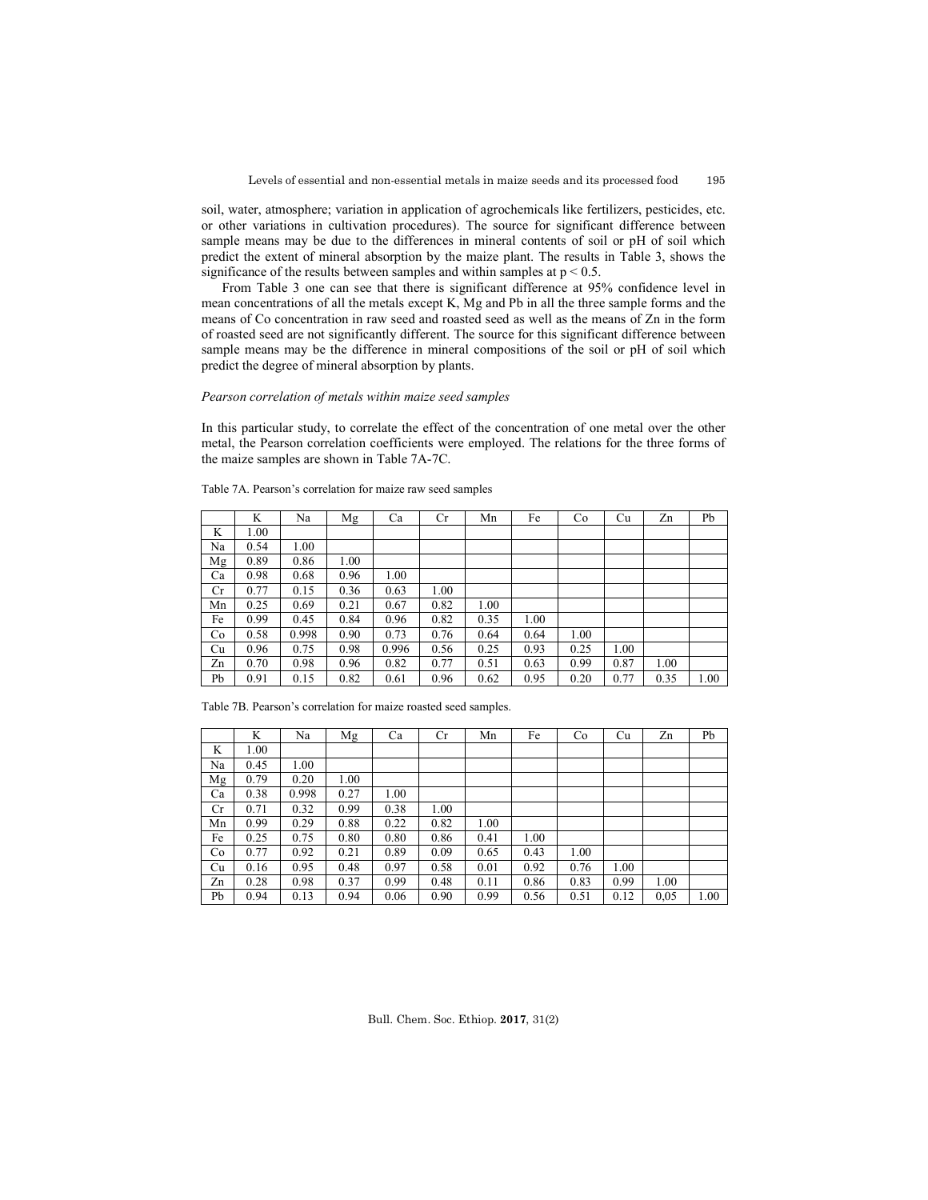soil, water, atmosphere; variation in application of agrochemicals like fertilizers, pesticides, etc. or other variations in cultivation procedures). The source for significant difference between sample means may be due to the differences in mineral contents of soil or pH of soil which predict the extent of mineral absorption by the maize plant. The results in Table 3, shows the significance of the results between samples and within samples at  $p < 0.5$ .

From Table 3 one can see that there is significant difference at 95% confidence level in mean concentrations of all the metals except K, Mg and Pb in all the three sample forms and the means of Co concentration in raw seed and roasted seed as well as the means of Zn in the form of roasted seed are not significantly different. The source for this significant difference between sample means may be the difference in mineral compositions of the soil or pH of soil which predict the degree of mineral absorption by plants.

## *Pearson correlation of metals within maize seed samples*

In this particular study, to correlate the effect of the concentration of one metal over the other metal, the Pearson correlation coefficients were employed. The relations for the three forms of the maize samples are shown in Table 7A-7C.

|    | K    | Na    | Mg   | Ca    | Cr   | Mn   | Fe   | Co   | Cu   | Zn   | Pb   |
|----|------|-------|------|-------|------|------|------|------|------|------|------|
| K  | 1.00 |       |      |       |      |      |      |      |      |      |      |
| Na | 0.54 | 1.00  |      |       |      |      |      |      |      |      |      |
| Mg | 0.89 | 0.86  | 1.00 |       |      |      |      |      |      |      |      |
| Ca | 0.98 | 0.68  | 0.96 | 1.00  |      |      |      |      |      |      |      |
| Cr | 0.77 | 0.15  | 0.36 | 0.63  | 1.00 |      |      |      |      |      |      |
| Mn | 0.25 | 0.69  | 0.21 | 0.67  | 0.82 | 1.00 |      |      |      |      |      |
| Fe | 0.99 | 0.45  | 0.84 | 0.96  | 0.82 | 0.35 | 1.00 |      |      |      |      |
| Co | 0.58 | 0.998 | 0.90 | 0.73  | 0.76 | 0.64 | 0.64 | 1.00 |      |      |      |
| Cu | 0.96 | 0.75  | 0.98 | 0.996 | 0.56 | 0.25 | 0.93 | 0.25 | 1.00 |      |      |
| Zn | 0.70 | 0.98  | 0.96 | 0.82  | 0.77 | 0.51 | 0.63 | 0.99 | 0.87 | 1.00 |      |
| Pb | 0.91 | 0.15  | 0.82 | 0.61  | 0.96 | 0.62 | 0.95 | 0.20 | 0.77 | 0.35 | 1.00 |

Table 7A. Pearson's correlation for maize raw seed samples

Table 7B. Pearson's correlation for maize roasted seed samples.

|    | K    | Na    | Mg   | Ca   | Cr   | Mn   | Fe   | Co   | Cu   | Zn   | Pb   |
|----|------|-------|------|------|------|------|------|------|------|------|------|
| K  | 1.00 |       |      |      |      |      |      |      |      |      |      |
| Na | 0.45 | 1.00  |      |      |      |      |      |      |      |      |      |
| Mg | 0.79 | 0.20  | 1.00 |      |      |      |      |      |      |      |      |
| Ca | 0.38 | 0.998 | 0.27 | 1.00 |      |      |      |      |      |      |      |
| Cr | 0.71 | 0.32  | 0.99 | 0.38 | 1.00 |      |      |      |      |      |      |
| Mn | 0.99 | 0.29  | 0.88 | 0.22 | 0.82 | 1.00 |      |      |      |      |      |
| Fe | 0.25 | 0.75  | 0.80 | 0.80 | 0.86 | 0.41 | 1.00 |      |      |      |      |
| Co | 0.77 | 0.92  | 0.21 | 0.89 | 0.09 | 0.65 | 0.43 | 1.00 |      |      |      |
| Cu | 0.16 | 0.95  | 0.48 | 0.97 | 0.58 | 0.01 | 0.92 | 0.76 | 1.00 |      |      |
| Zn | 0.28 | 0.98  | 0.37 | 0.99 | 0.48 | 0.11 | 0.86 | 0.83 | 0.99 | 1.00 |      |
| Pb | 0.94 | 0.13  | 0.94 | 0.06 | 0.90 | 0.99 | 0.56 | 0.51 | 0.12 | 0,05 | 1.00 |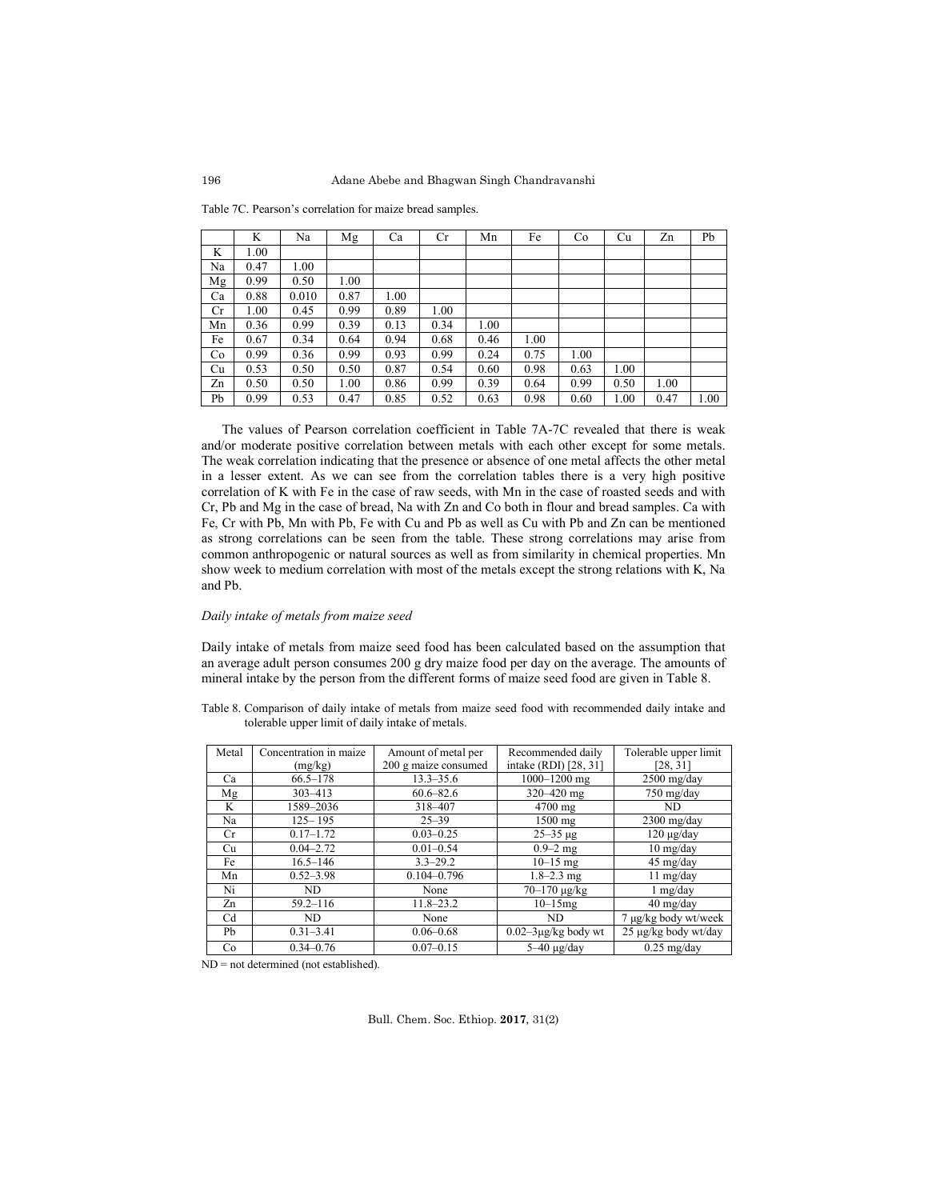Table 7C. Pearson's correlation for maize bread samples.

|    | K    | Na    | Mg   | Ca   | $_{\rm Cr}$ | Mn   | Fe   | Co   | Cu   | Zn   | Pb   |
|----|------|-------|------|------|-------------|------|------|------|------|------|------|
| K  | 1.00 |       |      |      |             |      |      |      |      |      |      |
| Na | 0.47 | 1.00  |      |      |             |      |      |      |      |      |      |
| Mg | 0.99 | 0.50  | 1.00 |      |             |      |      |      |      |      |      |
| Ca | 0.88 | 0.010 | 0.87 | 1.00 |             |      |      |      |      |      |      |
| Сr | 1.00 | 0.45  | 0.99 | 0.89 | 1.00        |      |      |      |      |      |      |
| Mn | 0.36 | 0.99  | 0.39 | 0.13 | 0.34        | 1.00 |      |      |      |      |      |
| Fe | 0.67 | 0.34  | 0.64 | 0.94 | 0.68        | 0.46 | 1.00 |      |      |      |      |
| Co | 0.99 | 0.36  | 0.99 | 0.93 | 0.99        | 0.24 | 0.75 | 1.00 |      |      |      |
| Cu | 0.53 | 0.50  | 0.50 | 0.87 | 0.54        | 0.60 | 0.98 | 0.63 | 1.00 |      |      |
| Zn | 0.50 | 0.50  | 1.00 | 0.86 | 0.99        | 0.39 | 0.64 | 0.99 | 0.50 | 1.00 |      |
| Pb | 0.99 | 0.53  | 0.47 | 0.85 | 0.52        | 0.63 | 0.98 | 0.60 | 1.00 | 0.47 | 1.00 |

The values of Pearson correlation coefficient in Table 7A-7C revealed that there is weak and/or moderate positive correlation between metals with each other except for some metals. The weak correlation indicating that the presence or absence of one metal affects the other metal in a lesser extent. As we can see from the correlation tables there is a very high positive correlation of K with Fe in the case of raw seeds, with Mn in the case of roasted seeds and with Cr, Pb and Mg in the case of bread, Na with Zn and Co both in flour and bread samples. Ca with Fe, Cr with Pb, Mn with Pb, Fe with Cu and Pb as well as Cu with Pb and Zn can be mentioned as strong correlations can be seen from the table. These strong correlations may arise from common anthropogenic or natural sources as well as from similarity in chemical properties. Mn show week to medium correlation with most of the metals except the strong relations with K, Na and Pb.

## *Daily intake of metals from maize seed*

Daily intake of metals from maize seed food has been calculated based on the assumption that an average adult person consumes 200 g dry maize food per day on the average. The amounts of mineral intake by the person from the different forms of maize seed food are given in Table 8.

Table 8. Comparison of daily intake of metals from maize seed food with recommended daily intake and tolerable upper limit of daily intake of metals.

| Metal          | Concentration in maize | Amount of metal per  | Recommended daily           | Tolerable upper limit     |
|----------------|------------------------|----------------------|-----------------------------|---------------------------|
|                | (mg/kg)                | 200 g maize consumed | intake (RDI) [28, 31]       | [28, 31]                  |
| Ca             | $66.5 - 178$           | $13.3 - 35.6$        | $1000 - 1200$ mg            | $2500$ mg/day             |
| Mg             | $303 - 413$            | $60.6 - 82.6$        | 320-420 mg                  | $750$ mg/day              |
| K              | 1589-2036              | 318-407              | $4700$ mg                   | ND.                       |
| Na             | $125 - 195$            | $25 - 39$            | 1500 mg                     | $2300$ mg/day             |
| Cr             | $0.17 - 1.72$          | $0.03 - 0.25$        | $25 - 35$ µg                | $120 \mu g/day$           |
| Cu             | $0.04 - 2.72$          | $0.01 - 0.54$        | $0.9 - 2$ mg                | $10 \text{ mg/day}$       |
| Fe             | $16.5 - 146$           | $3.3 - 29.2$         | $10-15$ mg                  | 45 mg/day                 |
| Mn             | $0.52 - 3.98$          | $0.104 - 0.796$      | $1.8 - 2.3$ mg              | $11 \text{ mg/day}$       |
| Ni             | ND                     | None                 | $70 - 170$ $\mu$ g/kg       | $1 \text{ mg}/\text{day}$ |
| Zn             | $59.2 - 116$           | $11.8 - 23.2$        | $10 - 15mg$                 | $40 \text{ mg/day}$       |
| C <sub>d</sub> | ND.                    | None                 | ND.                         | 7 μg/kg body wt/week      |
| Pb             | $0.31 - 3.41$          | $0.06 - 0.68$        | $0.02 - 3 \mu$ g/kg body wt | 25 µg/kg body wt/day      |
| Co             | $0.34 - 0.76$          | $0.07 - 0.15$        | $5-40 \mu g/day$            | $0.25$ mg/day             |

ND = not determined (not established).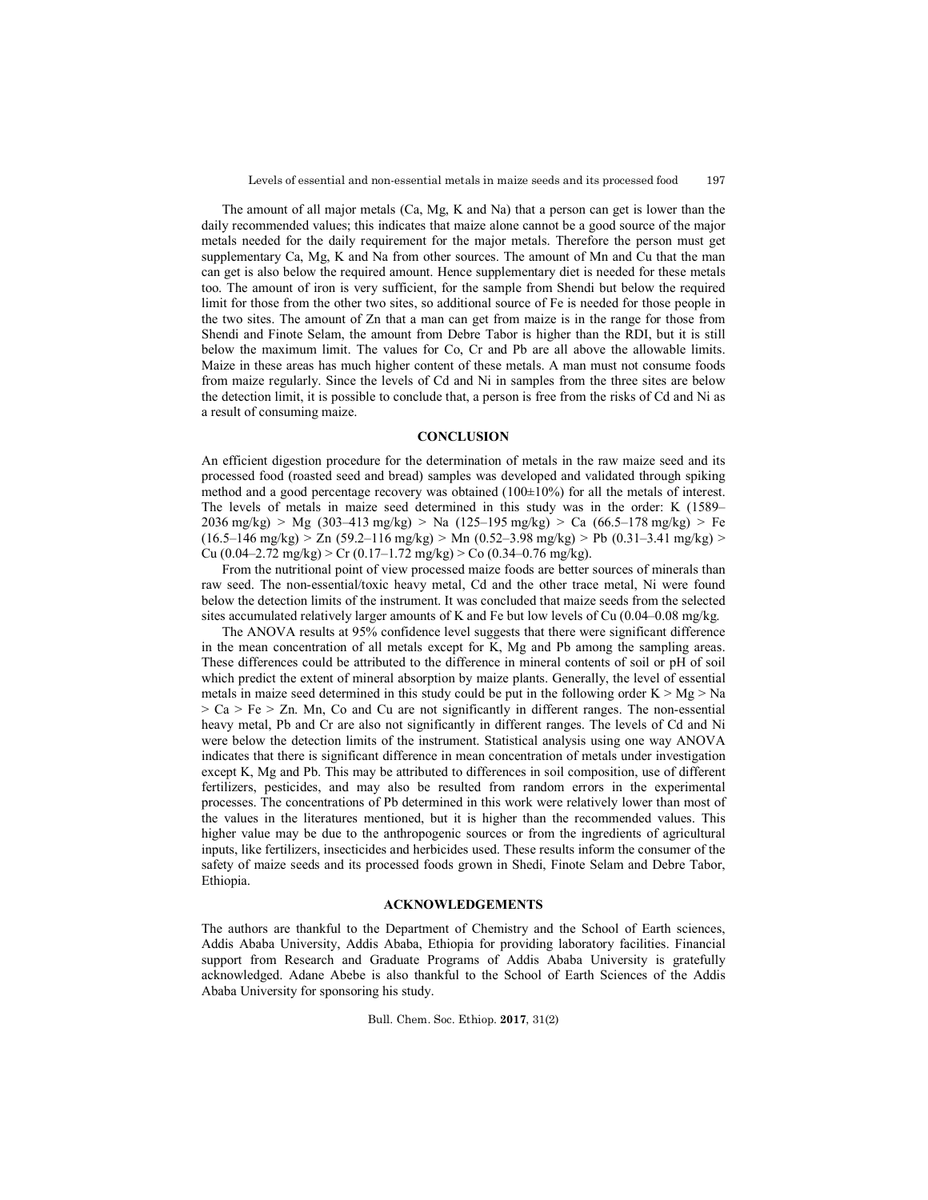The amount of all major metals (Ca, Mg, K and Na) that a person can get is lower than the daily recommended values; this indicates that maize alone cannot be a good source of the major metals needed for the daily requirement for the major metals. Therefore the person must get supplementary Ca, Mg, K and Na from other sources. The amount of Mn and Cu that the man can get is also below the required amount. Hence supplementary diet is needed for these metals too. The amount of iron is very sufficient, for the sample from Shendi but below the required limit for those from the other two sites, so additional source of Fe is needed for those people in the two sites. The amount of Zn that a man can get from maize is in the range for those from Shendi and Finote Selam, the amount from Debre Tabor is higher than the RDI, but it is still below the maximum limit. The values for Co, Cr and Pb are all above the allowable limits. Maize in these areas has much higher content of these metals. A man must not consume foods from maize regularly. Since the levels of Cd and Ni in samples from the three sites are below the detection limit, it is possible to conclude that, a person is free from the risks of Cd and Ni as a result of consuming maize.

## **CONCLUSION**

An efficient digestion procedure for the determination of metals in the raw maize seed and its processed food (roasted seed and bread) samples was developed and validated through spiking method and a good percentage recovery was obtained  $(100\pm10\%)$  for all the metals of interest. The levels of metals in maize seed determined in this study was in the order: K (1589– 2036 mg/kg) > Mg (303–413 mg/kg) > Na (125–195 mg/kg) > Ca (66.5–178 mg/kg) > Fe  $(16.5-146 \text{ mg/kg})$  > Zn  $(59.2-116 \text{ mg/kg})$  > Mn  $(0.52-3.98 \text{ mg/kg})$  > Pb  $(0.31-3.41 \text{ mg/kg})$  > Cu (0.04–2.72 mg/kg) > Cr (0.17–1.72 mg/kg) > Co (0.34–0.76 mg/kg).

From the nutritional point of view processed maize foods are better sources of minerals than raw seed. The non-essential/toxic heavy metal, Cd and the other trace metal, Ni were found below the detection limits of the instrument. It was concluded that maize seeds from the selected sites accumulated relatively larger amounts of K and Fe but low levels of Cu (0.04–0.08 mg/kg.

The ANOVA results at 95% confidence level suggests that there were significant difference in the mean concentration of all metals except for K, Mg and Pb among the sampling areas. These differences could be attributed to the difference in mineral contents of soil or pH of soil which predict the extent of mineral absorption by maize plants. Generally, the level of essential metals in maize seed determined in this study could be put in the following order  $K > Mg > Na$  $> Ca > Fe > Zn$ . Mn, Co and Cu are not significantly in different ranges. The non-essential heavy metal, Pb and Cr are also not significantly in different ranges. The levels of Cd and Ni were below the detection limits of the instrument. Statistical analysis using one way ANOVA indicates that there is significant difference in mean concentration of metals under investigation except K, Mg and Pb. This may be attributed to differences in soil composition, use of different fertilizers, pesticides, and may also be resulted from random errors in the experimental processes. The concentrations of Pb determined in this work were relatively lower than most of the values in the literatures mentioned, but it is higher than the recommended values. This higher value may be due to the anthropogenic sources or from the ingredients of agricultural inputs, like fertilizers, insecticides and herbicides used. These results inform the consumer of the safety of maize seeds and its processed foods grown in Shedi, Finote Selam and Debre Tabor, Ethiopia.

### **ACKNOWLEDGEMENTS**

The authors are thankful to the Department of Chemistry and the School of Earth sciences, Addis Ababa University, Addis Ababa, Ethiopia for providing laboratory facilities. Financial support from Research and Graduate Programs of Addis Ababa University is gratefully acknowledged. Adane Abebe is also thankful to the School of Earth Sciences of the Addis Ababa University for sponsoring his study.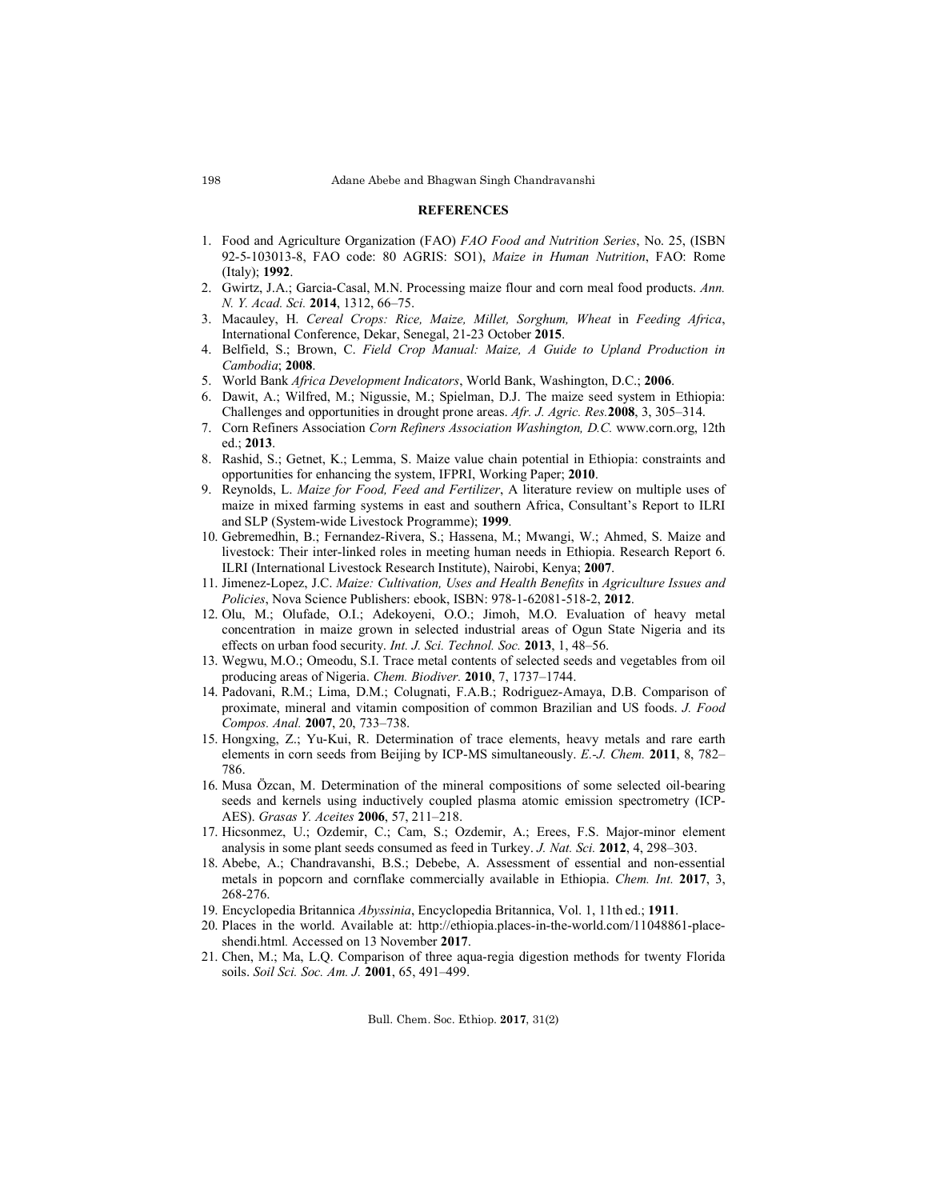### **REFERENCES**

- 1. Food and Agriculture Organization (FAO) *FAO Food and Nutrition Series*, No. 25, (ISBN 92-5-103013-8, FAO code: 80 AGRIS: SO1), *Maize in Human Nutrition*, FAO: Rome (Italy); **1992**.
- 2. Gwirtz, J.A.; Garcia-Casal, M.N. Processing maize flour and corn meal food products. *Ann. N. Y. Acad. Sci.* **2014**, 1312, 66–75.
- 3. Macauley, H. *Cereal Crops: Rice, Maize, Millet, Sorghum, Wheat* in *Feeding Africa*, International Conference, Dekar, Senegal, 21-23 October **2015**.
- 4. Belfield, S.; Brown, C. *Field Crop Manual: Maize, A Guide to Upland Production in Cambodia*; **2008**.
- 5. World Bank *Africa Development Indicators*, World Bank, Washington, D.C.; **2006**.
- 6. Dawit, A.; Wilfred, M.; Nigussie, M.; Spielman, D.J. The maize seed system in Ethiopia: Challenges and opportunities in drought prone areas. *Afr. J. Agric. Res.***2008**, 3, 305–314.
- 7. Corn Refiners Association *Corn Refiners Association Washington, D.C.* www.corn.org, 12th ed.; **2013**.
- 8. Rashid, S.; Getnet, K.; Lemma, S. Maize value chain potential in Ethiopia: constraints and opportunities for enhancing the system, IFPRI, Working Paper; **2010**.
- 9. Reynolds, L. *Maize for Food, Feed and Fertilizer*, A literature review on multiple uses of maize in mixed farming systems in east and southern Africa, Consultant's Report to ILRI and SLP (System-wide Livestock Programme); **1999**.
- 10. Gebremedhin, B.; Fernandez-Rivera, S.; Hassena, M.; Mwangi, W.; Ahmed, S. Maize and livestock: Their inter-linked roles in meeting human needs in Ethiopia. Research Report 6. ILRI (International Livestock Research Institute), Nairobi, Kenya; **2007**.
- 11. Jimenez-Lopez, J.C. *Maize: Cultivation, Uses and Health Benefits* in *Agriculture Issues and Policies*, Nova Science Publishers: ebook, ISBN: 978-1-62081-518-2, **2012**.
- 12. Olu, M.; Olufade, O.I.; Adekoyeni, O.O.; Jimoh, M.O. Evaluation of heavy metal concentration in maize grown in selected industrial areas of Ogun State Nigeria and its effects on urban food security. *Int. J. Sci. Technol. Soc.* **2013**, 1, 48–56.
- 13. Wegwu, M.O.; Omeodu, S.I. Trace metal contents of selected seeds and vegetables from oil producing areas of Nigeria. *Chem. Biodiver.* **2010**, 7, 1737–1744.
- 14. Padovani, R.M.; Lima, D.M.; Colugnati, F.A.B.; Rodriguez-Amaya, D.B. Comparison of proximate, mineral and vitamin composition of common Brazilian and US foods. *J. Food Compos. Anal.* **2007**, 20, 733–738.
- 15. Hongxing, Z.; Yu-Kui, R. Determination of trace elements, heavy metals and rare earth elements in corn seeds from Beijing by ICP-MS simultaneously. *E.-J. Chem.* **2011**, 8, 782– 786.
- 16. Musa Özcan, M. Determination of the mineral compositions of some selected oil-bearing seeds and kernels using inductively coupled plasma atomic emission spectrometry (ICP-AES). *Grasas Y. Aceites* **2006**, 57, 211–218.
- 17. Hicsonmez, U.; Ozdemir, C.; Cam, S.; Ozdemir, A.; Erees, F.S. Major-minor element analysis in some plant seeds consumed as feed in Turkey. *J. Nat. Sci.* **2012**, 4, 298–303.
- 18. Abebe, A.; Chandravanshi, B.S.; Debebe, A. Assessment of essential and non-essential metals in popcorn and cornflake commercially available in Ethiopia. *Chem. Int.* **2017**, 3, 268-276.
- 19. Encyclopedia Britannica *Abyssinia*, Encyclopedia Britannica, Vol. 1, 11th ed.; **1911**.
- 20. Places in the world. Available at: http://ethiopia.places-in-the-world.com/11048861-placeshendi.html*.* Accessed on 13 November **2017**.
- 21. Chen, M.; Ma, L.Q. Comparison of three aqua-regia digestion methods for twenty Florida soils. *Soil Sci. Soc. Am. J.* **2001**, 65, 491–499.